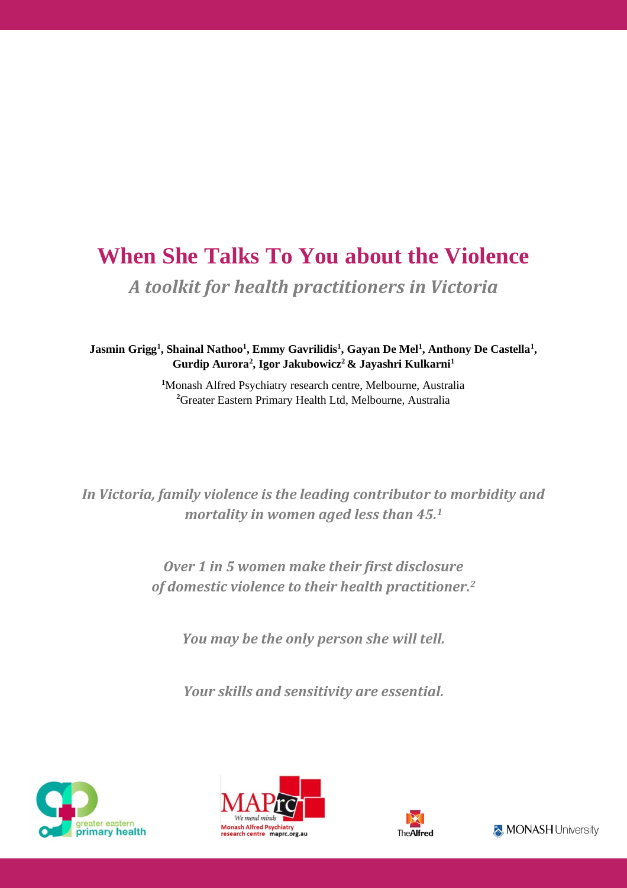# **When She Talks To You about the Violence** *A toolkit for health practitioners in Victoria*

**Jasmin Grigg<sup>1</sup> , Shainal Nathoo<sup>1</sup> , Emmy Gavrilidis<sup>1</sup> , Gayan De Mel<sup>1</sup> , Anthony De Castella<sup>1</sup> , Gurdip Aurora<sup>2</sup> , Igor Jakubowicz<sup>2</sup> & Jayashri Kulkarni<sup>1</sup>**

> **<sup>1</sup>**Monash Alfred Psychiatry research centre, Melbourne, Australia **<sup>2</sup>**Greater Eastern Primary Health Ltd, Melbourne, Australia

*In Victoria, family violence is the leading contributor to morbidity and mortality in women aged less than 45. 1*

> *Over 1 in 5 women make their first disclosure of domestic violence to their health practitioner. 2*

*You may be the only person she will tell.*

*Your skills and sensitivity are essential.*





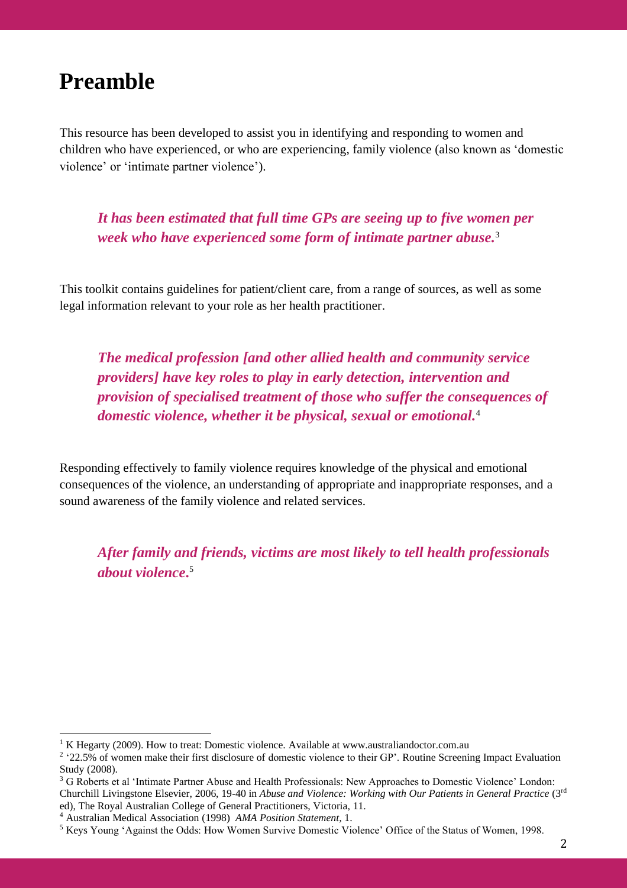## **Preamble<sup>12</sup>**

This resource has been developed to assist you in identifying and responding to women and children who have experienced, or who are experiencing, family violence (also known as 'domestic violence' or 'intimate partner violence').

*It has been estimated that full time GPs are seeing up to five women per week who have experienced some form of intimate partner abuse.* 3

This toolkit contains guidelines for patient/client care, from a range of sources, as well as some legal information relevant to your role as her health practitioner.

*The medical profession [and other allied health and community service providers] have key roles to play in early detection, intervention and provision of specialised treatment of those who suffer the consequences of domestic violence, whether it be physical, sexual or emotional.* 4

Responding effectively to family violence requires knowledge of the physical and emotional consequences of the violence, an understanding of appropriate and inappropriate responses, and a sound awareness of the family violence and related services.

*After family and friends, victims are most likely to tell health professionals about violence***.** 5

<sup>1</sup> K Hegarty (2009). How to treat: Domestic violence. Available at www.australiandoctor.com.au

<sup>&</sup>lt;sup>2</sup> '22.5% of women make their first disclosure of domestic violence to their GP'. Routine Screening Impact Evaluation Study (2008).

<sup>3</sup> G Roberts et al 'Intimate Partner Abuse and Health Professionals: New Approaches to Domestic Violence' London: Churchill Livingstone Elsevier, 2006, 19-40 in *Abuse and Violence: Working with Our Patients in General Practice* (3<sup>rd</sup> ed), The Royal Australian College of General Practitioners, Victoria, 11.

<sup>4</sup> Australian Medical Association (1998) *AMA Position Statement,* 1.

<sup>5</sup> Keys Young 'Against the Odds: How Women Survive Domestic Violence' Office of the Status of Women, 1998.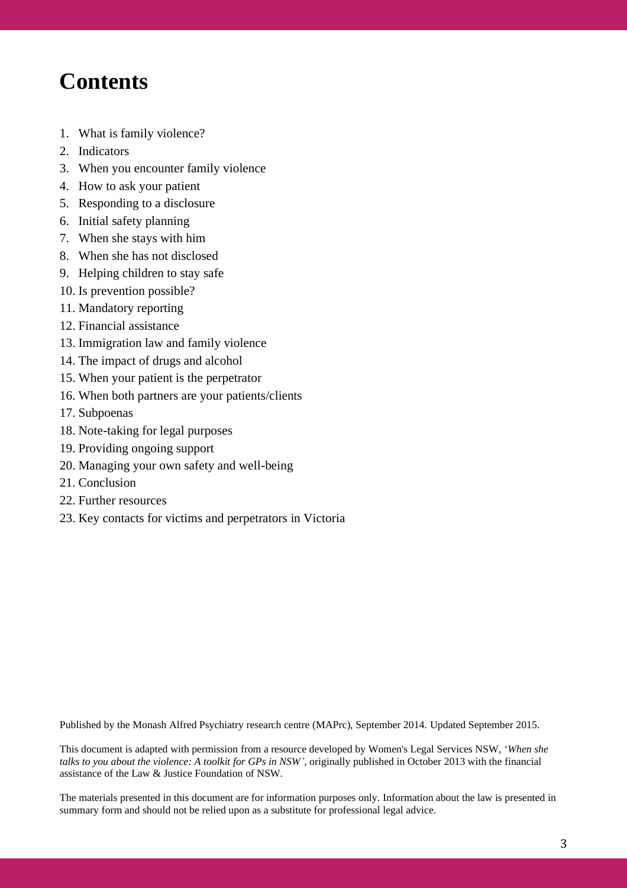## **Contents**

- 1. What is family violence?
- 2. Indicators
- 3. When you encounter family violence
- 4. How to ask your patient
- 5. Responding to a disclosure
- 6. Initial safety planning
- 7. When she stays with him
- 8. When she has not disclosed
- 9. Helping children to stay safe
- 10. Is prevention possible?
- 11. Mandatory reporting
- 12. Financial assistance
- 13. Immigration law and family violence
- 14. The impact of drugs and alcohol
- 15. When your patient is the perpetrator
- 16. When both partners are your patients/clients
- 17. Subpoenas
- 18. Note-taking for legal purposes
- 19. Providing ongoing support
- 20. Managing your own safety and well-being
- 21. Conclusion
- 22. Further resources
- 23. Key contacts for victims and perpetrators in Victoria

Published by the Monash Alfred Psychiatry research centre (MAPrc), September 2014. Updated September 2015.

This document is adapted with permission from a resource developed by Women's Legal Services NSW, '*When she talks to you about the violence: A toolkit for GPs in NSW'*, originally published in October 2013 with the financial assistance of the Law & Justice Foundation of NSW.

The materials presented in this document are for information purposes only. Information about the law is presented in summary form and should not be relied upon as a substitute for professional legal advice.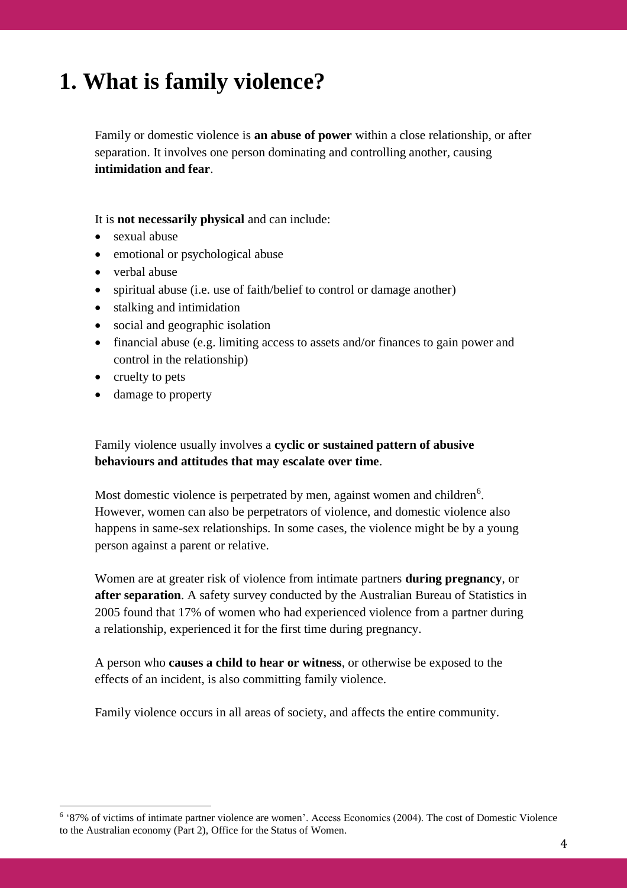# **1. What is family violence?**

Family or domestic violence is **an abuse of power** within a close relationship, or after separation. It involves one person dominating and controlling another, causing **intimidation and fear**.

It is **not necessarily physical** and can include:

- sexual abuse
- emotional or psychological abuse
- verbal abuse
- spiritual abuse (i.e. use of faith/belief to control or damage another)
- stalking and intimidation
- social and geographic isolation
- financial abuse (e.g. limiting access to assets and/or finances to gain power and control in the relationship)
- cruelty to pets
- damage to property

Family violence usually involves a **cyclic or sustained pattern of abusive behaviours and attitudes that may escalate over time**.

Most domestic violence is perpetrated by men, against women and children<sup>6</sup>. However, women can also be perpetrators of violence, and domestic violence also happens in same-sex relationships. In some cases, the violence might be by a young person against a parent or relative.

Women are at greater risk of violence from intimate partners **during pregnancy**, or **after separation**. A safety survey conducted by the Australian Bureau of Statistics in 2005 found that 17% of women who had experienced violence from a partner during a relationship, experienced it for the first time during pregnancy.

A person who **causes a child to hear or witness**, or otherwise be exposed to the effects of an incident, is also committing family violence.

Family violence occurs in all areas of society, and affects the entire community.

<sup>&</sup>lt;sup>6</sup> '87% of victims of intimate partner violence are women'. Access Economics (2004). The cost of Domestic Violence to the Australian economy (Part 2), Office for the Status of Women.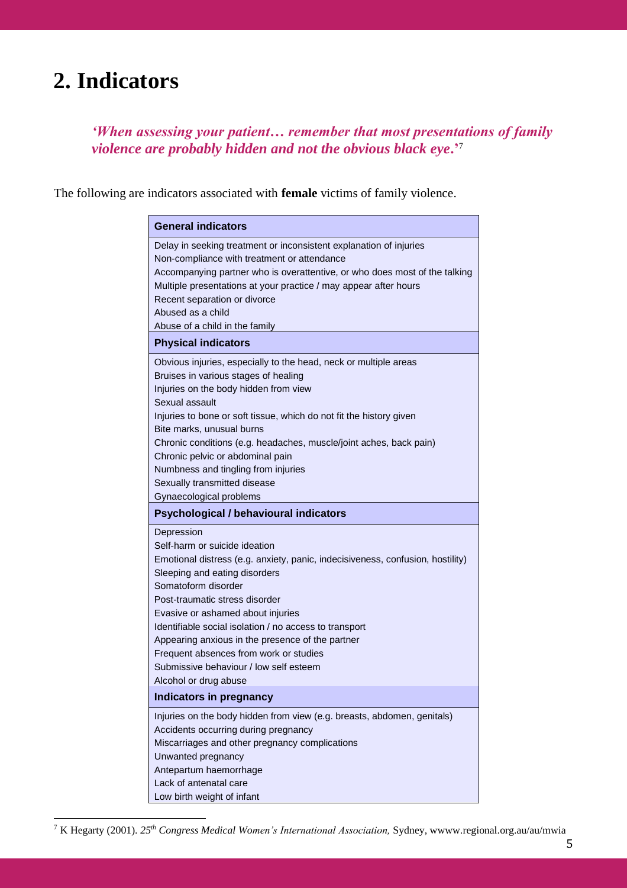# **2. Indicators**

*'When assessing your patient… remember that most presentations of family violence are probably hidden and not the obvious black eye***.'**<sup>7</sup>

The following are indicators associated with **female** victims of family violence.

| <b>General indicators</b>                                                                                                                                                                                                                                                                                                                                                                                                                                                               |
|-----------------------------------------------------------------------------------------------------------------------------------------------------------------------------------------------------------------------------------------------------------------------------------------------------------------------------------------------------------------------------------------------------------------------------------------------------------------------------------------|
| Delay in seeking treatment or inconsistent explanation of injuries<br>Non-compliance with treatment or attendance<br>Accompanying partner who is overattentive, or who does most of the talking<br>Multiple presentations at your practice / may appear after hours<br>Recent separation or divorce<br>Abused as a child<br>Abuse of a child in the family                                                                                                                              |
| <b>Physical indicators</b>                                                                                                                                                                                                                                                                                                                                                                                                                                                              |
| Obvious injuries, especially to the head, neck or multiple areas<br>Bruises in various stages of healing<br>Injuries on the body hidden from view<br>Sexual assault<br>Injuries to bone or soft tissue, which do not fit the history given<br>Bite marks, unusual burns<br>Chronic conditions (e.g. headaches, muscle/joint aches, back pain)<br>Chronic pelvic or abdominal pain<br>Numbness and tingling from injuries<br>Sexually transmitted disease<br>Gynaecological problems     |
| <b>Psychological / behavioural indicators</b>                                                                                                                                                                                                                                                                                                                                                                                                                                           |
| Depression<br>Self-harm or suicide ideation<br>Emotional distress (e.g. anxiety, panic, indecisiveness, confusion, hostility)<br>Sleeping and eating disorders<br>Somatoform disorder<br>Post-traumatic stress disorder<br>Evasive or ashamed about injuries<br>Identifiable social isolation / no access to transport<br>Appearing anxious in the presence of the partner<br>Frequent absences from work or studies<br>Submissive behaviour / low self esteem<br>Alcohol or drug abuse |
| <b>Indicators in pregnancy</b>                                                                                                                                                                                                                                                                                                                                                                                                                                                          |
| Injuries on the body hidden from view (e.g. breasts, abdomen, genitals)<br>Accidents occurring during pregnancy<br>Miscarriages and other pregnancy complications<br>Unwanted pregnancy<br>Antepartum haemorrhage<br>Lack of antenatal care<br>Low birth weight of infant                                                                                                                                                                                                               |

<sup>7</sup> K Hegarty (2001). *25th Congress Medical Women's International Association,* Sydney, wwww.regional.org.au/au/mwia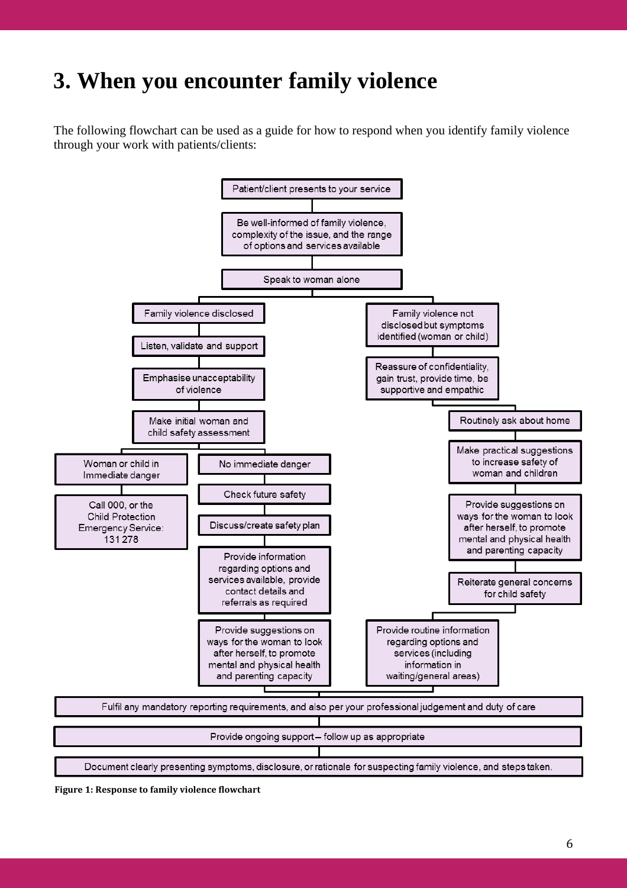# **3. When you encounter family violence**

The following flowchart can be used as a guide for how to respond when you identify family violence through your work with patients/clients:



**Figure 1: Response to family violence flowchart**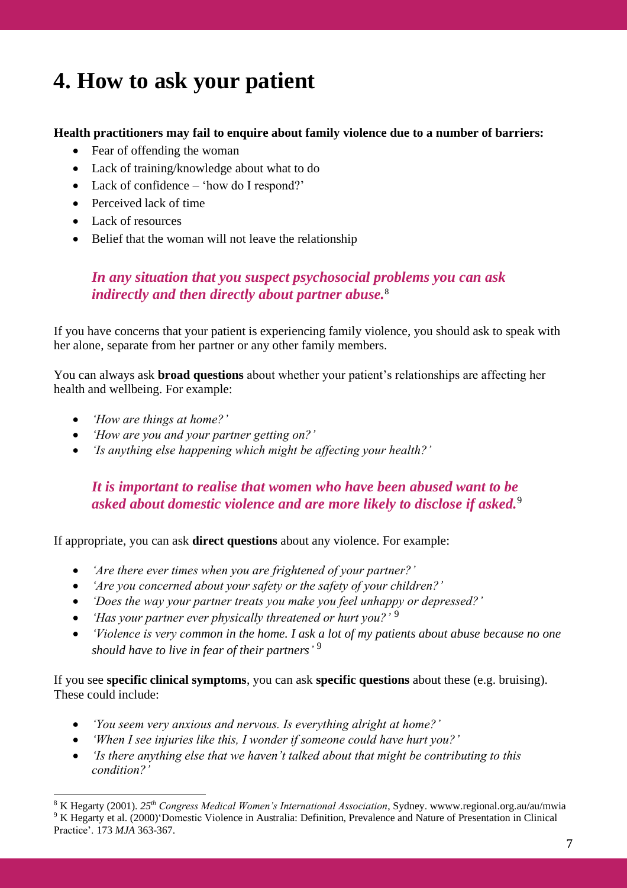# **4. How to ask your patient**

### **Health practitioners may fail to enquire about family violence due to a number of barriers:**

- Fear of offending the woman
- Lack of training/knowledge about what to do
- Lack of confidence 'how do I respond?'
- Perceived lack of time
- Lack of resources
- Belief that the woman will not leave the relationship

## *In any situation that you suspect psychosocial problems you can ask indirectly and then directly about partner abuse.*<sup>8</sup>

If you have concerns that your patient is experiencing family violence, you should ask to speak with her alone, separate from her partner or any other family members.

You can always ask **broad questions** about whether your patient's relationships are affecting her health and wellbeing. For example:

- *'How are things at home?'*
- *'How are you and your partner getting on?'*
- *'Is anything else happening which might be affecting your health?'*

## *It is important to realise that women who have been abused want to be asked about domestic violence and are more likely to disclose if asked.*<sup>9</sup>

If appropriate, you can ask **direct questions** about any violence. For example:

- *'Are there ever times when you are frightened of your partner?'*
- *'Are you concerned about your safety or the safety of your children?'*
- *'Does the way your partner treats you make you feel unhappy or depressed?'*
- *'Has your partner ever physically threatened or hurt you?'* <sup>9</sup>
- *'Violence is very common in the home. I ask a lot of my patients about abuse because no one should have to live in fear of their partners'* 9

If you see **specific clinical symptoms**, you can ask **specific questions** about these (e.g. bruising). These could include:

- *'You seem very anxious and nervous. Is everything alright at home?'*
- *'When I see injuries like this, I wonder if someone could have hurt you?'*
- *'Is there anything else that we haven't talked about that might be contributing to this condition?'*

<sup>8</sup> K Hegarty (2001). *25th Congress Medical Women's International Association*, Sydney. wwww.regional.org.au/au/mwia <sup>9</sup> K Hegarty et al. (2000)'Domestic Violence in Australia: Definition, Prevalence and Nature of Presentation in Clinical Practice'. 173 *MJA* 363-367.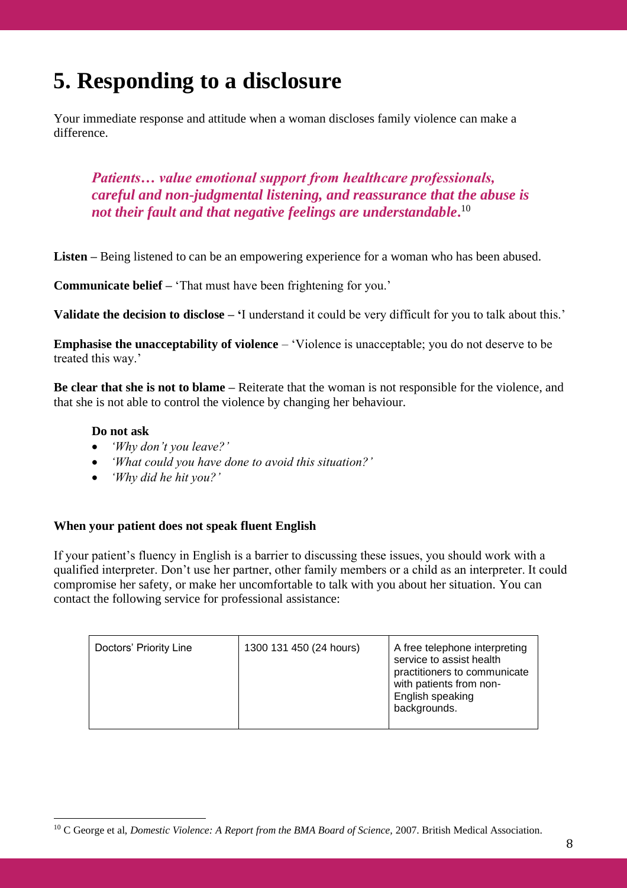# **5. Responding to a disclosure**

Your immediate response and attitude when a woman discloses family violence can make a difference.

*Patients… value emotional support from healthcare professionals, careful and non-judgmental listening, and reassurance that the abuse is not their fault and that negative feelings are understandable***.** 10

**Listen –** Being listened to can be an empowering experience for a woman who has been abused.

**Communicate belief –** 'That must have been frightening for you.'

**Validate the decision to disclose – '**I understand it could be very difficult for you to talk about this.'

**Emphasise the unacceptability of violence** – 'Violence is unacceptable; you do not deserve to be treated this way.'

**Be clear that she is not to blame –** Reiterate that the woman is not responsible for the violence, and that she is not able to control the violence by changing her behaviour.

### **Do not ask**

- *'Why don't you leave?'*
- *'What could you have done to avoid this situation?'*
- *'Why did he hit you?'*

### **When your patient does not speak fluent English**

If your patient's fluency in English is a barrier to discussing these issues, you should work with a qualified interpreter. Don't use her partner, other family members or a child as an interpreter. It could compromise her safety, or make her uncomfortable to talk with you about her situation. You can contact the following service for professional assistance:

| Doctors' Priority Line | 1300 131 450 (24 hours) | A free telephone interpreting<br>service to assist health<br>practitioners to communicate<br>with patients from non-<br>English speaking<br>backgrounds. |
|------------------------|-------------------------|----------------------------------------------------------------------------------------------------------------------------------------------------------|
|------------------------|-------------------------|----------------------------------------------------------------------------------------------------------------------------------------------------------|

<sup>&</sup>lt;sup>10</sup> C George et al, *Domestic Violence: A Report from the BMA Board of Science*, 2007. British Medical Association.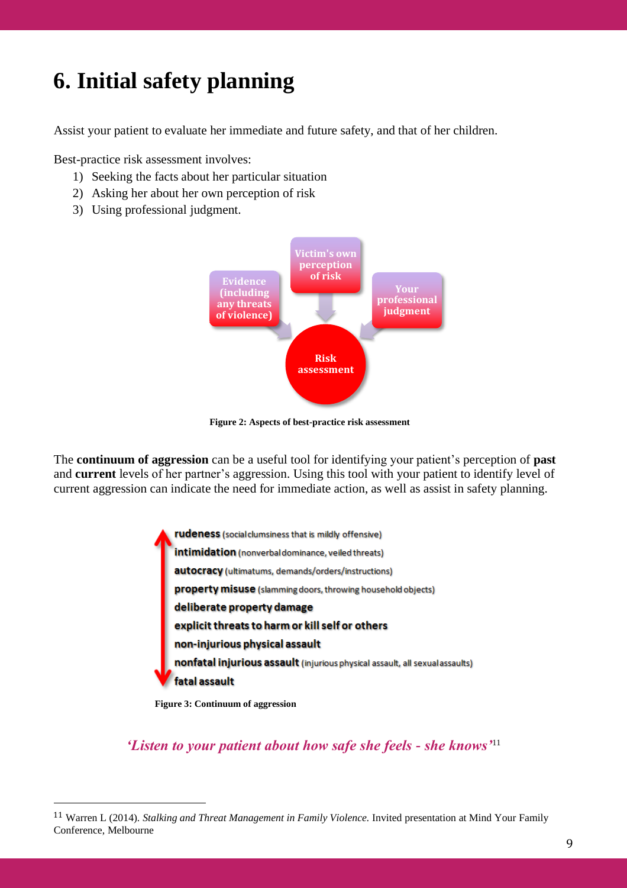# **6. Initial safety planning**

Assist your patient to evaluate her immediate and future safety, and that of her children.

Best-practice risk assessment involves:

- 1) Seeking the facts about her particular situation
- 2) Asking her about her own perception of risk
- 3) Using professional judgment.



**Figure 2: Aspects of best-practice risk assessment**

The **continuum of aggression** can be a useful tool for identifying your patient's perception of **past** and **current** levels of her partner's aggression. Using this tool with your patient to identify level of current aggression can indicate the need for immediate action, as well as assist in safety planning.

> rudeness (social clumsiness that is mildly offensive) intimidation (nonverbaldominance, veiled threats) autocracy (ultimatums, demands/orders/instructions) property misuse (slamming doors, throwing household objects) deliberate property damage explicit threats to harm or kill self or others non-injurious physical assault nonfatal injurious assault (injurious physical assault, all sexual assaults) fatal assault

**Figure 3: Continuum of aggression**

*'Listen to your patient about how safe she feels - she knows'*<sup>11</sup>

<sup>11</sup> Warren L (2014). *Stalking and Threat Management in Family Violence.* Invited presentation at Mind Your Family Conference, Melbourne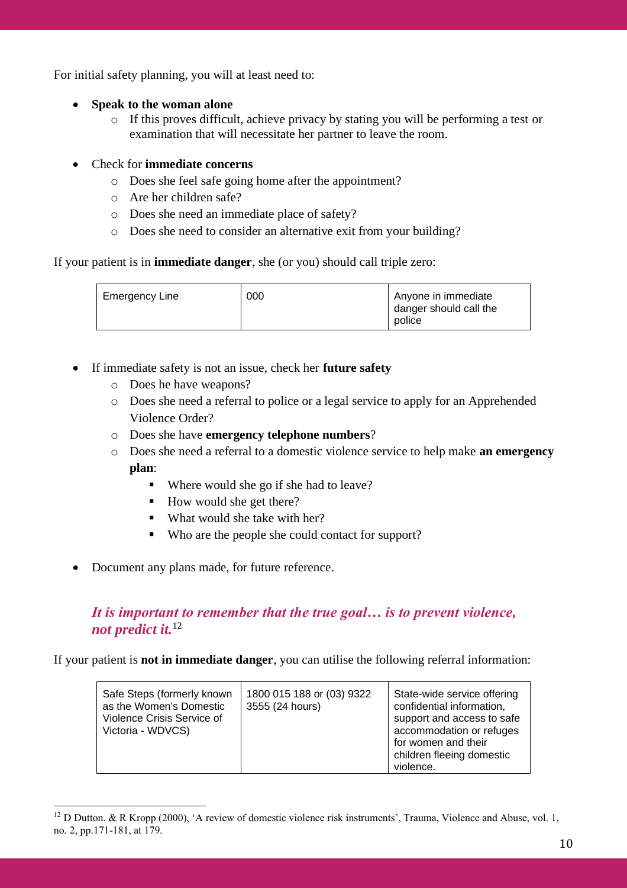For initial safety planning, you will at least need to:

- **Speak to the woman alone**
	- o If this proves difficult, achieve privacy by stating you will be performing a test or examination that will necessitate her partner to leave the room.
- Check for **immediate concerns**
	- o Does she feel safe going home after the appointment?
	- o Are her children safe?
	- o Does she need an immediate place of safety?
	- o Does she need to consider an alternative exit from your building?

If your patient is in **immediate danger**, she (or you) should call triple zero:

| Emergency Line | 000 | Anyone in immediate<br>danger should call the<br>police |
|----------------|-----|---------------------------------------------------------|
|                |     |                                                         |

- If immediate safety is not an issue, check her **future safety**
	- o Does he have weapons?
	- o Does she need a referral to police or a legal service to apply for an Apprehended Violence Order?
	- o Does she have **emergency telephone numbers**?
	- o Does she need a referral to a domestic violence service to help make **an emergency plan**:
		- Where would she go if she had to leave?
		- How would she get there?
		- What would she take with her?
		- Who are the people she could contact for support?
- Document any plans made, for future reference.

## *It is important to remember that the true goal… is to prevent violence, not predict it.*<sup>12</sup>

If your patient is **not in immediate danger**, you can utilise the following referral information:

| Safe Steps (formerly known<br>as the Women's Domestic<br>Violence Crisis Service of<br>Victoria - WDVCS) | 1800 015 188 or (03) 9322<br>3555 (24 hours) | State-wide service offering<br>confidential information,<br>support and access to safe<br>accommodation or refuges<br>for women and their<br>children fleeing domestic<br>violence. |
|----------------------------------------------------------------------------------------------------------|----------------------------------------------|-------------------------------------------------------------------------------------------------------------------------------------------------------------------------------------|
|----------------------------------------------------------------------------------------------------------|----------------------------------------------|-------------------------------------------------------------------------------------------------------------------------------------------------------------------------------------|

<sup>&</sup>lt;sup>12</sup> D Dutton. & R Kropp (2000), 'A review of domestic violence risk instruments', Trauma, Violence and Abuse, vol. 1, no. 2, pp.171-181, at 179.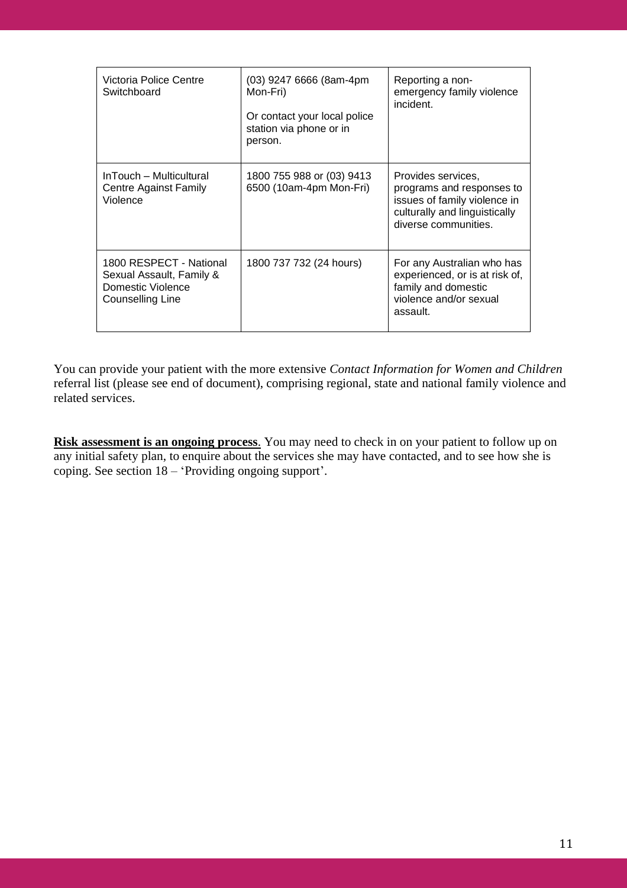| Victoria Police Centre<br>Switchboard                                                        | (03) 9247 6666 (8am-4pm<br>Mon-Fri)<br>Or contact your local police<br>station via phone or in<br>person. | Reporting a non-<br>emergency family violence<br>incident.                                                                               |
|----------------------------------------------------------------------------------------------|-----------------------------------------------------------------------------------------------------------|------------------------------------------------------------------------------------------------------------------------------------------|
| InTouch – Multicultural<br><b>Centre Against Family</b><br>Violence                          | 1800 755 988 or (03) 9413<br>6500 (10am-4pm Mon-Fri)                                                      | Provides services,<br>programs and responses to<br>issues of family violence in<br>culturally and linguistically<br>diverse communities. |
| 1800 RESPECT - National<br>Sexual Assault, Family &<br>Domestic Violence<br>Counselling Line | 1800 737 732 (24 hours)                                                                                   | For any Australian who has<br>experienced, or is at risk of,<br>family and domestic<br>violence and/or sexual<br>assault.                |

You can provide your patient with the more extensive *Contact Information for Women and Children*  referral list (please see end of document), comprising regional, state and national family violence and related services.

**Risk assessment is an ongoing process**. You may need to check in on your patient to follow up on any initial safety plan, to enquire about the services she may have contacted, and to see how she is coping. See section 18 – 'Providing ongoing support'.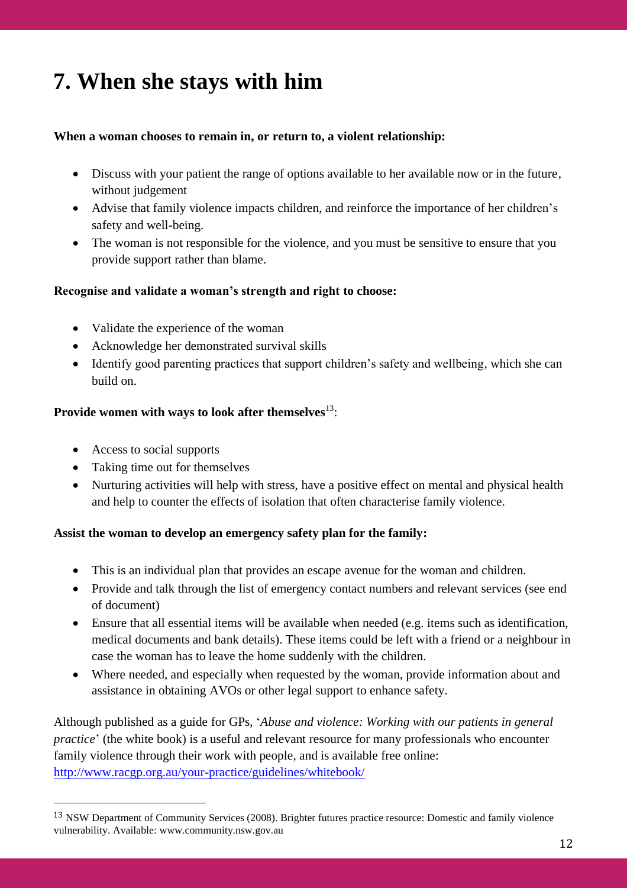# **7. When she stays with him**

### **When a woman chooses to remain in, or return to, a violent relationship:**

- Discuss with your patient the range of options available to her available now or in the future, without judgement
- Advise that family violence impacts children, and reinforce the importance of her children's safety and well-being.
- The woman is not responsible for the violence, and you must be sensitive to ensure that you provide support rather than blame.

### **Recognise and validate a woman's strength and right to choose:**

- Validate the experience of the woman
- Acknowledge her demonstrated survival skills
- Identify good parenting practices that support children's safety and wellbeing, which she can build on.

### **Provide women with ways to look after themselves**<sup>13</sup>:

- Access to social supports
- Taking time out for themselves
- Nurturing activities will help with stress, have a positive effect on mental and physical health and help to counter the effects of isolation that often characterise family violence.

### **Assist the woman to develop an emergency safety plan for the family:**

- This is an individual plan that provides an escape avenue for the woman and children.
- Provide and talk through the list of emergency contact numbers and relevant services (see end of document)
- Ensure that all essential items will be available when needed (e.g. items such as identification, medical documents and bank details). These items could be left with a friend or a neighbour in case the woman has to leave the home suddenly with the children.
- Where needed, and especially when requested by the woman, provide information about and assistance in obtaining AVOs or other legal support to enhance safety.

Although published as a guide for GPs, '*Abuse and violence: Working with our patients in general practice*' (the white book) is a useful and relevant resource for many professionals who encounter family violence through their work with people, and is available free online: <http://www.racgp.org.au/your-practice/guidelines/whitebook/>

<sup>13</sup> NSW Department of Community Services (2008). Brighter futures practice resource: Domestic and family violence vulnerability. Available: www.community.nsw.gov.au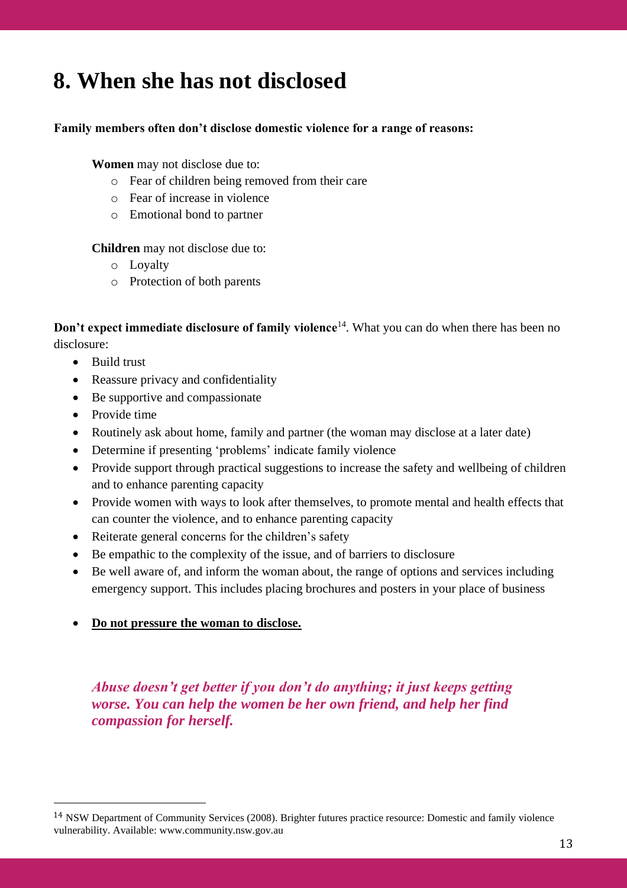## **8. When she has not disclosed**

### **Family members often don't disclose domestic violence for a range of reasons:**

### **Women** may not disclose due to:

- o Fear of children being removed from their care
- o Fear of increase in violence
- o Emotional bond to partner

**Children** may not disclose due to:

- o Loyalty
- o Protection of both parents

**Don't expect immediate disclosure of family violence**<sup>14</sup>. What you can do when there has been no disclosure:

- Build trust
- Reassure privacy and confidentiality
- Be supportive and compassionate
- Provide time
- Routinely ask about home, family and partner (the woman may disclose at a later date)
- Determine if presenting 'problems' indicate family violence
- Provide support through practical suggestions to increase the safety and wellbeing of children and to enhance parenting capacity
- Provide women with ways to look after themselves, to promote mental and health effects that can counter the violence, and to enhance parenting capacity
- Reiterate general concerns for the children's safety
- Be empathic to the complexity of the issue, and of barriers to disclosure
- Be well aware of, and inform the woman about, the range of options and services including emergency support. This includes placing brochures and posters in your place of business
- **Do not pressure the woman to disclose.**

## *Abuse doesn't get better if you don't do anything; it just keeps getting worse. You can help the women be her own friend, and help her find compassion for herself.*

<sup>14</sup> NSW Department of Community Services (2008). Brighter futures practice resource: Domestic and family violence vulnerability. Available: www.community.nsw.gov.au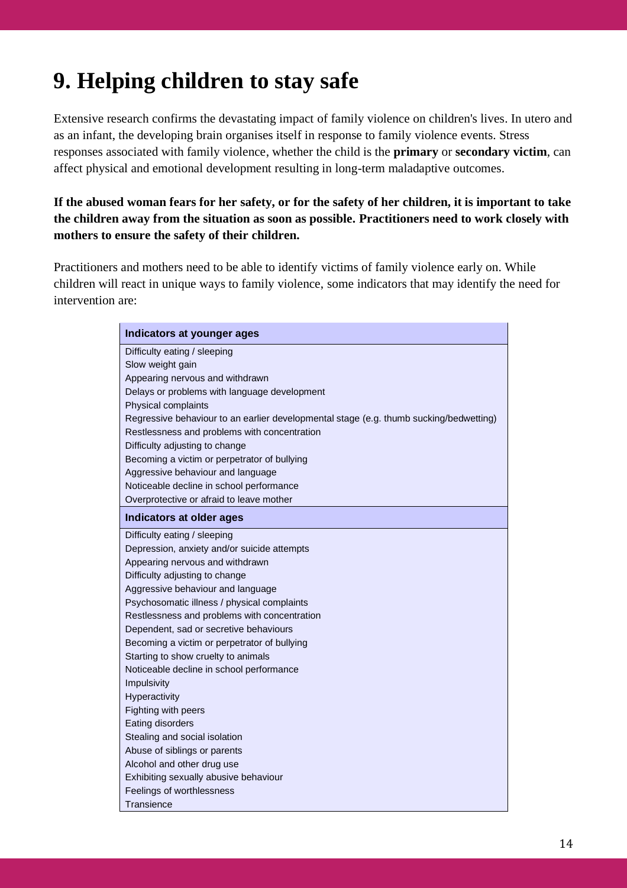# **9. Helping children to stay safe**

Extensive research confirms the devastating impact of family violence on children's lives. In utero and as an infant, the developing brain organises itself in response to family violence events. Stress responses associated with family violence, whether the child is the **primary** or **secondary victim**, can affect physical and emotional development resulting in long-term maladaptive outcomes.

**If the abused woman fears for her safety, or for the safety of her children, it is important to take the children away from the situation as soon as possible. Practitioners need to work closely with mothers to ensure the safety of their children.**

Practitioners and mothers need to be able to identify victims of family violence early on. While children will react in unique ways to family violence, some indicators that may identify the need for intervention are:

| Indicators at younger ages                                                             |
|----------------------------------------------------------------------------------------|
| Difficulty eating / sleeping                                                           |
| Slow weight gain                                                                       |
| Appearing nervous and withdrawn                                                        |
| Delays or problems with language development                                           |
| Physical complaints                                                                    |
| Regressive behaviour to an earlier developmental stage (e.g. thumb sucking/bedwetting) |
| Restlessness and problems with concentration                                           |
| Difficulty adjusting to change                                                         |
| Becoming a victim or perpetrator of bullying                                           |
| Aggressive behaviour and language                                                      |
| Noticeable decline in school performance                                               |
| Overprotective or afraid to leave mother                                               |
| Indicators at older ages                                                               |
| Difficulty eating / sleeping                                                           |
| Depression, anxiety and/or suicide attempts                                            |
| Appearing nervous and withdrawn                                                        |
| Difficulty adjusting to change                                                         |
| Aggressive behaviour and language                                                      |
| Psychosomatic illness / physical complaints                                            |
| Restlessness and problems with concentration                                           |
| Dependent, sad or secretive behaviours                                                 |
| Becoming a victim or perpetrator of bullying                                           |
| Starting to show cruelty to animals                                                    |
| Noticeable decline in school performance                                               |
| Impulsivity                                                                            |
| Hyperactivity                                                                          |
| Fighting with peers                                                                    |
| Eating disorders                                                                       |
| Stealing and social isolation                                                          |
| Abuse of siblings or parents                                                           |
| Alcohol and other drug use                                                             |
| Exhibiting sexually abusive behaviour                                                  |
| Feelings of worthlessness                                                              |
| Transience                                                                             |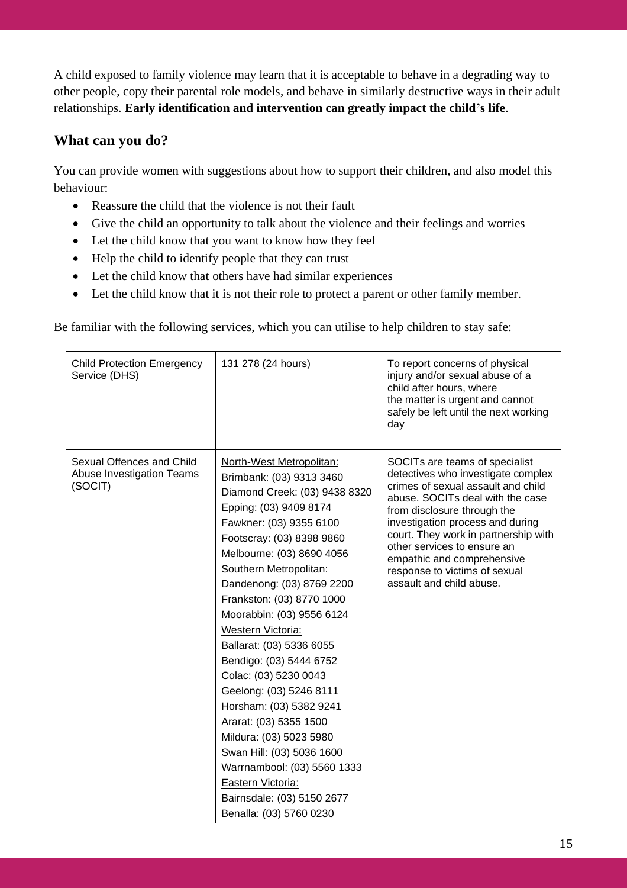A child exposed to family violence may learn that it is acceptable to behave in a degrading way to other people, copy their parental role models, and behave in similarly destructive ways in their adult relationships. **Early identification and intervention can greatly impact the child's life**.

## **What can you do?**

You can provide women with suggestions about how to support their children, and also model this behaviour:

- Reassure the child that the violence is not their fault
- Give the child an opportunity to talk about the violence and their feelings and worries
- Let the child know that you want to know how they feel
- Help the child to identify people that they can trust
- Let the child know that others have had similar experiences
- Let the child know that it is not their role to protect a parent or other family member.

Be familiar with the following services, which you can utilise to help children to stay safe:

| <b>Child Protection Emergency</b><br>Service (DHS)                | 131 278 (24 hours)                                                                                                                                                                                                                                                                                                                                                                                                                                                                                                                                                                                                                                                              | To report concerns of physical<br>injury and/or sexual abuse of a<br>child after hours, where<br>the matter is urgent and cannot<br>safely be left until the next working<br>day                                                                                                                                                                                                    |
|-------------------------------------------------------------------|---------------------------------------------------------------------------------------------------------------------------------------------------------------------------------------------------------------------------------------------------------------------------------------------------------------------------------------------------------------------------------------------------------------------------------------------------------------------------------------------------------------------------------------------------------------------------------------------------------------------------------------------------------------------------------|-------------------------------------------------------------------------------------------------------------------------------------------------------------------------------------------------------------------------------------------------------------------------------------------------------------------------------------------------------------------------------------|
| Sexual Offences and Child<br>Abuse Investigation Teams<br>(SOCIT) | North-West Metropolitan:<br>Brimbank: (03) 9313 3460<br>Diamond Creek: (03) 9438 8320<br>Epping: (03) 9409 8174<br>Fawkner: (03) 9355 6100<br>Footscray: (03) 8398 9860<br>Melbourne: (03) 8690 4056<br>Southern Metropolitan:<br>Dandenong: (03) 8769 2200<br>Frankston: (03) 8770 1000<br>Moorabbin: (03) 9556 6124<br>Western Victoria:<br>Ballarat: (03) 5336 6055<br>Bendigo: (03) 5444 6752<br>Colac: (03) 5230 0043<br>Geelong: (03) 5246 8111<br>Horsham: (03) 5382 9241<br>Ararat: (03) 5355 1500<br>Mildura: (03) 5023 5980<br>Swan Hill: (03) 5036 1600<br>Warrnambool: (03) 5560 1333<br>Eastern Victoria:<br>Bairnsdale: (03) 5150 2677<br>Benalla: (03) 5760 0230 | SOCITs are teams of specialist<br>detectives who investigate complex<br>crimes of sexual assault and child<br>abuse. SOCITs deal with the case<br>from disclosure through the<br>investigation process and during<br>court. They work in partnership with<br>other services to ensure an<br>empathic and comprehensive<br>response to victims of sexual<br>assault and child abuse. |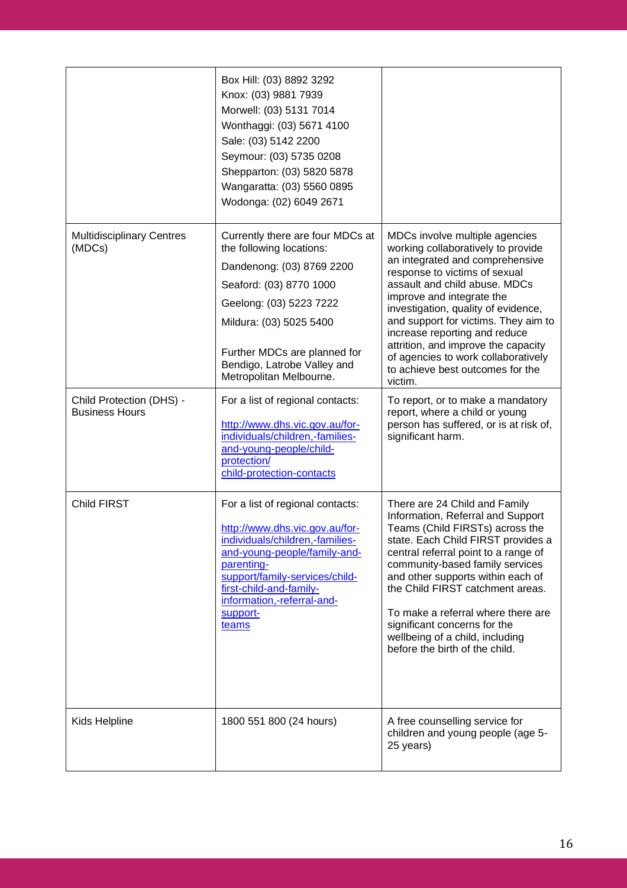|                                                   | Box Hill: (03) 8892 3292<br>Knox: (03) 9881 7939<br>Morwell: (03) 5131 7014<br>Wonthaggi: (03) 5671 4100<br>Sale: (03) 5142 2200<br>Seymour: (03) 5735 0208<br>Shepparton: (03) 5820 5878<br>Wangaratta: (03) 5560 0895<br>Wodonga: (02) 6049 2671                   |                                                                                                                                                                                                                                                                                                                                                                                                                                                     |
|---------------------------------------------------|----------------------------------------------------------------------------------------------------------------------------------------------------------------------------------------------------------------------------------------------------------------------|-----------------------------------------------------------------------------------------------------------------------------------------------------------------------------------------------------------------------------------------------------------------------------------------------------------------------------------------------------------------------------------------------------------------------------------------------------|
| <b>Multidisciplinary Centres</b><br>(MDCs)        | Currently there are four MDCs at<br>the following locations:<br>Dandenong: (03) 8769 2200<br>Seaford: (03) 8770 1000<br>Geelong: (03) 5223 7222<br>Mildura: (03) 5025 5400<br>Further MDCs are planned for<br>Bendigo, Latrobe Valley and<br>Metropolitan Melbourne. | MDCs involve multiple agencies<br>working collaboratively to provide<br>an integrated and comprehensive<br>response to victims of sexual<br>assault and child abuse. MDCs<br>improve and integrate the<br>investigation, quality of evidence,<br>and support for victims. They aim to<br>increase reporting and reduce<br>attrition, and improve the capacity<br>of agencies to work collaboratively<br>to achieve best outcomes for the<br>victim. |
| Child Protection (DHS) -<br><b>Business Hours</b> | For a list of regional contacts:<br>http://www.dhs.vic.gov.au/for-<br>individuals/children,-families-<br>and-young-people/child-<br>protection/<br>child-protection-contacts                                                                                         | To report, or to make a mandatory<br>report, where a child or young<br>person has suffered, or is at risk of,<br>significant harm.                                                                                                                                                                                                                                                                                                                  |
| Child FIRST                                       | For a list of regional contacts:<br>http://www.dhs.vic.gov.au/for-<br>individuals/children,-families-<br>and-young-people/family-and-<br>parenting-<br>support/family-services/child-<br>first-child-and-family-<br>information,-referral-and-<br>support-<br>teams  | There are 24 Child and Family<br>Information, Referral and Support<br>Teams (Child FIRSTs) across the<br>state. Each Child FIRST provides a<br>central referral point to a range of<br>community-based family services<br>and other supports within each of<br>the Child FIRST catchment areas.<br>To make a referral where there are<br>significant concerns for the<br>wellbeing of a child, including<br>before the birth of the child.          |
| Kids Helpline                                     | 1800 551 800 (24 hours)                                                                                                                                                                                                                                              | A free counselling service for<br>children and young people (age 5-<br>25 years)                                                                                                                                                                                                                                                                                                                                                                    |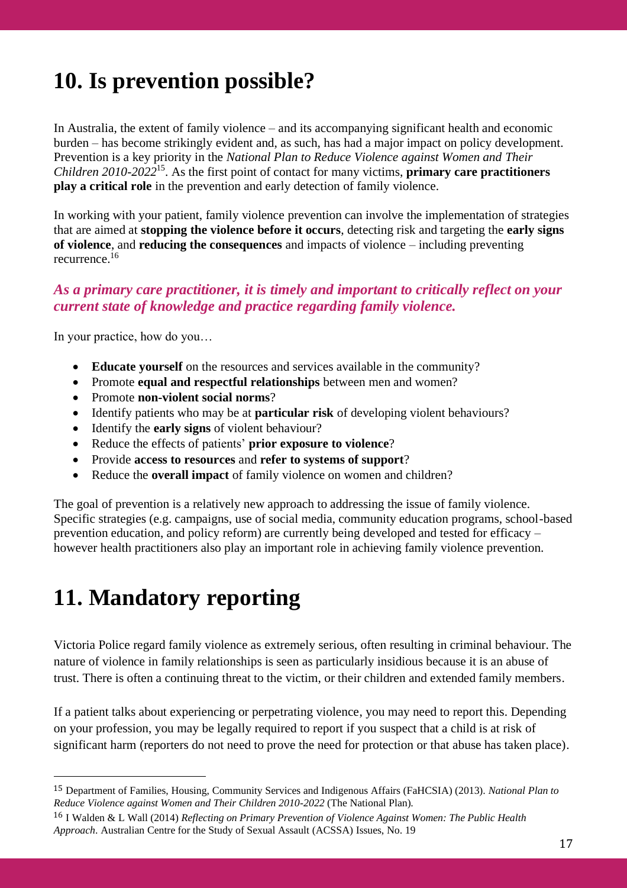# **10. Is prevention possible?**

In Australia, the extent of family violence – and its accompanying significant health and economic burden – has become strikingly evident and, as such, has had a major impact on policy development. Prevention is a key priority in the *National Plan to Reduce Violence against Women and Their Children 2010-2022*<sup>15</sup> . As the first point of contact for many victims, **primary care practitioners play a critical role** in the prevention and early detection of family violence.

In working with your patient, family violence prevention can involve the implementation of strategies that are aimed at **stopping the violence before it occurs**, detecting risk and targeting the **early signs of violence**, and **reducing the consequences** and impacts of violence – including preventing recurrence.<sup>16</sup>

## *As a primary care practitioner, it is timely and important to critically reflect on your current state of knowledge and practice regarding family violence.*

In your practice, how do you…

- **Educate yourself** on the resources and services available in the community?
- Promote **equal and respectful relationships** between men and women?
- Promote **non-violent social norms**?
- Identify patients who may be at **particular risk** of developing violent behaviours?
- Identify the **early signs** of violent behaviour?
- Reduce the effects of patients' **prior exposure to violence**?
- Provide **access to resources** and **refer to systems of support**?
- Reduce the **overall impact** of family violence on women and children?

The goal of prevention is a relatively new approach to addressing the issue of family violence. Specific strategies (e.g. campaigns, use of social media, community education programs, school-based prevention education, and policy reform) are currently being developed and tested for efficacy – however health practitioners also play an important role in achieving family violence prevention.

# **11. Mandatory reporting**

Victoria Police regard family violence as extremely serious, often resulting in criminal behaviour. The nature of violence in family relationships is seen as particularly insidious because it is an abuse of trust. There is often a continuing threat to the victim, or their children and extended family members.

If a patient talks about experiencing or perpetrating violence, you may need to report this. Depending on your profession, you may be legally required to report if you suspect that a child is at risk of significant harm (reporters do not need to prove the need for protection or that abuse has taken place).

<sup>15</sup> Department of Families, Housing, Community Services and Indigenous Affairs (FaHCSIA) (2013). *National Plan to Reduce Violence against Women and Their Children 2010-2022* (The National Plan).

<sup>16</sup> I Walden & L Wall (2014) *Reflecting on Primary Prevention of Violence Against Women: The Public Health Approach*. Australian Centre for the Study of Sexual Assault (ACSSA) Issues, No. 19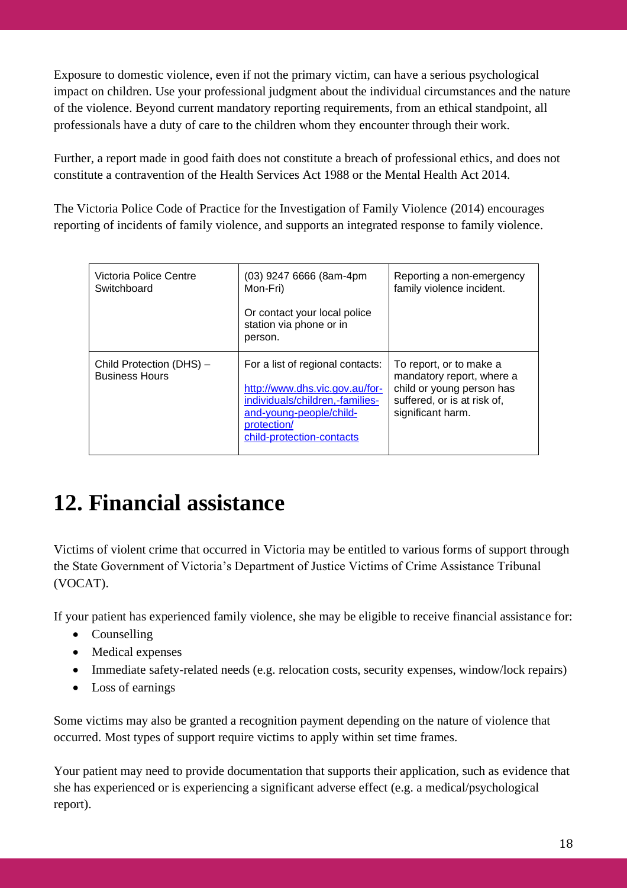Exposure to domestic violence, even if not the primary victim, can have a serious psychological impact on children. Use your professional judgment about the individual circumstances and the nature of the violence. Beyond current mandatory reporting requirements, from an ethical standpoint, all professionals have a duty of care to the children whom they encounter through their work.

Further, a report made in good faith does not constitute a breach of professional ethics, and does not constitute a contravention of the Health Services Act 1988 or the Mental Health Act 2014.

The Victoria Police Code of Practice for the Investigation of Family Violence (2014) encourages reporting of incidents of family violence, and supports an integrated response to family violence.

| Victoria Police Centre<br>Switchboard             | (03) 9247 6666 (8am-4pm<br>Mon-Fri)                                                                                                                                          | Reporting a non-emergency<br>family violence incident.                                                                                |
|---------------------------------------------------|------------------------------------------------------------------------------------------------------------------------------------------------------------------------------|---------------------------------------------------------------------------------------------------------------------------------------|
|                                                   | Or contact your local police<br>station via phone or in<br>person.                                                                                                           |                                                                                                                                       |
| Child Protection (DHS) -<br><b>Business Hours</b> | For a list of regional contacts:<br>http://www.dhs.vic.gov.au/for-<br>individuals/children,-families-<br>and-young-people/child-<br>protection/<br>child-protection-contacts | To report, or to make a<br>mandatory report, where a<br>child or young person has<br>suffered, or is at risk of,<br>significant harm. |

# **12. Financial assistance**

Victims of violent crime that occurred in Victoria may be entitled to various forms of support through the State Government of Victoria's Department of Justice Victims of Crime Assistance Tribunal (VOCAT).

If your patient has experienced family violence, she may be eligible to receive financial assistance for:

- Counselling
- Medical expenses
- Immediate safety-related needs (e.g. relocation costs, security expenses, window/lock repairs)
- Loss of earnings

Some victims may also be granted a recognition payment depending on the nature of violence that occurred. Most types of support require victims to apply within set time frames.

Your patient may need to provide documentation that supports their application, such as evidence that she has experienced or is experiencing a significant adverse effect (e.g. a medical/psychological report).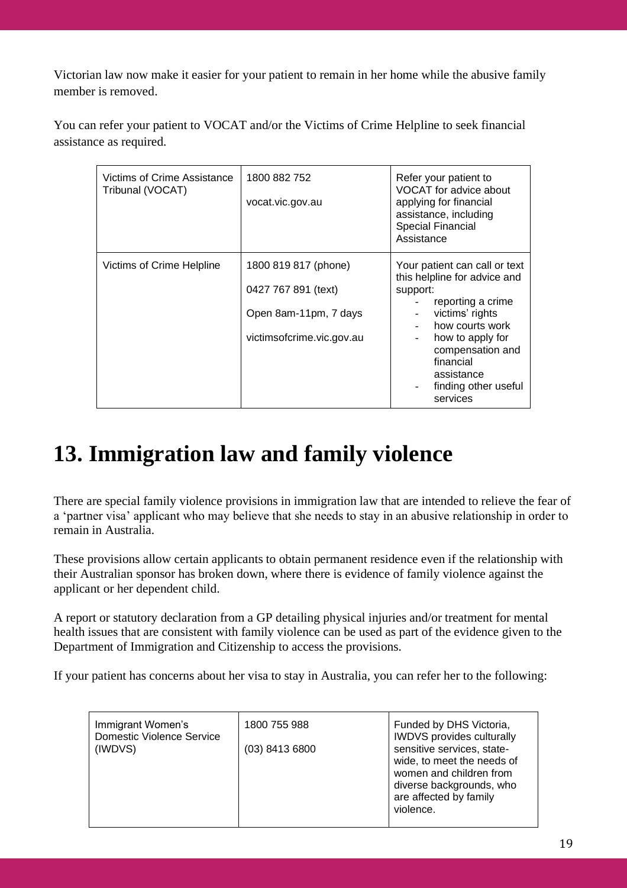Victorian law now make it easier for your patient to remain in her home while the abusive family member is removed.

You can refer your patient to VOCAT and/or the Victims of Crime Helpline to seek financial assistance as required.

| Victims of Crime Assistance<br>Tribunal (VOCAT) | 1800 882 752<br>vocat.vic.gov.au                                                                  | Refer your patient to<br>VOCAT for advice about<br>applying for financial<br>assistance, including<br><b>Special Financial</b><br>Assistance                                                                                                |
|-------------------------------------------------|---------------------------------------------------------------------------------------------------|---------------------------------------------------------------------------------------------------------------------------------------------------------------------------------------------------------------------------------------------|
| Victims of Crime Helpline                       | 1800 819 817 (phone)<br>0427 767 891 (text)<br>Open 8am-11pm, 7 days<br>victimsofcrime.vic.gov.au | Your patient can call or text<br>this helpline for advice and<br>support:<br>reporting a crime<br>victims' rights<br>how courts work<br>how to apply for<br>compensation and<br>financial<br>assistance<br>finding other useful<br>services |

# **13. Immigration law and family violence**

There are special family violence provisions in immigration law that are intended to relieve the fear of a 'partner visa' applicant who may believe that she needs to stay in an abusive relationship in order to remain in Australia.

These provisions allow certain applicants to obtain permanent residence even if the relationship with their Australian sponsor has broken down, where there is evidence of family violence against the applicant or her dependent child.

A report or statutory declaration from a GP detailing physical injuries and/or treatment for mental health issues that are consistent with family violence can be used as part of the evidence given to the Department of Immigration and Citizenship to access the provisions.

If your patient has concerns about her visa to stay in Australia, you can refer her to the following:

| Immigrant Women's                | 1800 755 988   | Funded by DHS Victoria,          |
|----------------------------------|----------------|----------------------------------|
| <b>Domestic Violence Service</b> |                | <b>IWDVS</b> provides culturally |
| (IWDVS)                          | (03) 8413 6800 | sensitive services, state-       |
|                                  |                | wide, to meet the needs of       |
|                                  |                | women and children from          |
|                                  |                | diverse backgrounds, who         |
|                                  |                | are affected by family           |
|                                  |                | violence.                        |
|                                  |                |                                  |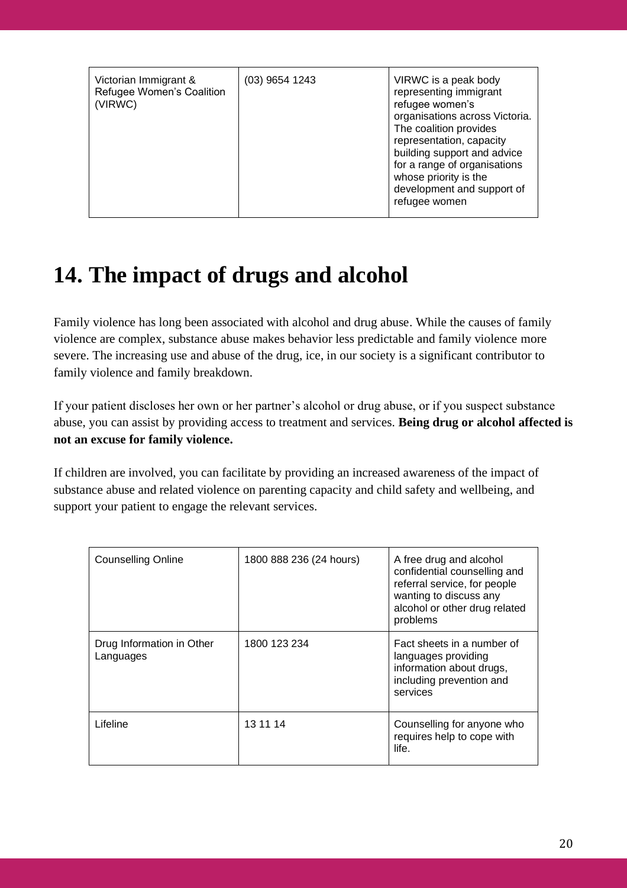| Victorian Immigrant &<br>Refugee Women's Coalition<br>(VIRWC) | $(03)$ 9654 1243 | VIRWC is a peak body<br>representing immigrant<br>refugee women's<br>organisations across Victoria.<br>The coalition provides<br>representation, capacity<br>building support and advice<br>for a range of organisations<br>whose priority is the<br>development and support of<br>refugee women |
|---------------------------------------------------------------|------------------|--------------------------------------------------------------------------------------------------------------------------------------------------------------------------------------------------------------------------------------------------------------------------------------------------|
|---------------------------------------------------------------|------------------|--------------------------------------------------------------------------------------------------------------------------------------------------------------------------------------------------------------------------------------------------------------------------------------------------|

# **14. The impact of drugs and alcohol**

Family violence has long been associated with alcohol and drug abuse. While the causes of family violence are complex, substance abuse makes behavior less predictable and family violence more severe. The increasing use and abuse of the drug, ice, in our society is a significant contributor to family violence and family breakdown.

If your patient discloses her own or her partner's alcohol or drug abuse, or if you suspect substance abuse, you can assist by providing access to treatment and services. **Being drug or alcohol affected is not an excuse for family violence.** 

If children are involved, you can facilitate by providing an increased awareness of the impact of substance abuse and related violence on parenting capacity and child safety and wellbeing, and support your patient to engage the relevant services.

| <b>Counselling Online</b>              | 1800 888 236 (24 hours) | A free drug and alcohol<br>confidential counselling and<br>referral service, for people<br>wanting to discuss any<br>alcohol or other drug related<br>problems |
|----------------------------------------|-------------------------|----------------------------------------------------------------------------------------------------------------------------------------------------------------|
| Drug Information in Other<br>Languages | 1800 123 234            | Fact sheets in a number of<br>languages providing<br>information about drugs,<br>including prevention and<br>services                                          |
| Lifeline                               | 13 11 14                | Counselling for anyone who<br>requires help to cope with<br>life.                                                                                              |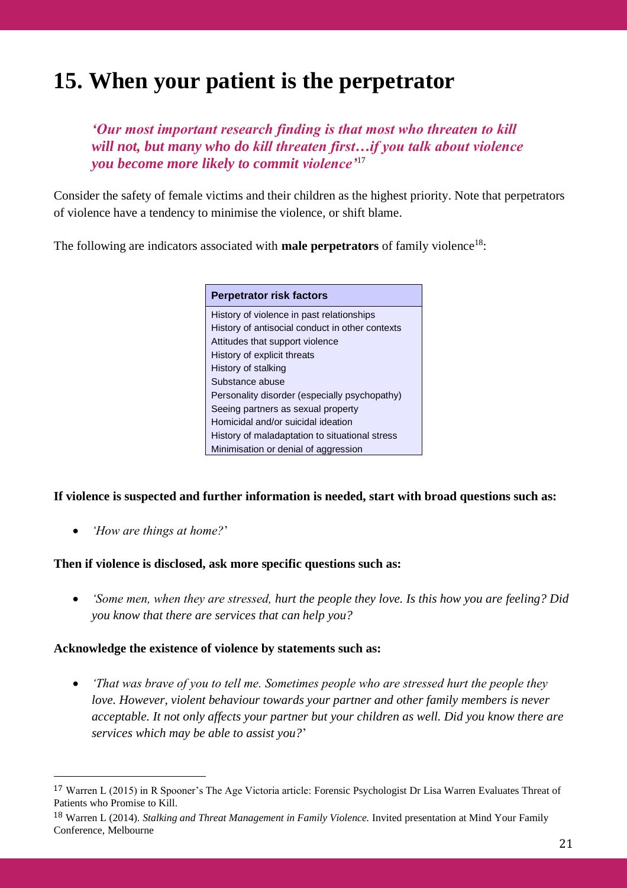# **15. When your patient is the perpetrator**

*'Our most important research finding is that most who threaten to kill will not, but many who do kill threaten first…if you talk about violence you become more likely to commit violence'*<sup>17</sup>

Consider the safety of female victims and their children as the highest priority. Note that perpetrators of violence have a tendency to minimise the violence, or shift blame.

The following are indicators associated with **male perpetrators** of family violence<sup>18</sup>:

#### **Perpetrator risk factors** History of violence in past relationships History of antisocial conduct in other contexts Attitudes that support violence History of explicit threats History of stalking Substance abuse Personality disorder (especially psychopathy) Seeing partners as sexual property Homicidal and/or suicidal ideation History of maladaptation to situational stress Minimisation or denial of aggression

#### **If violence is suspected and further information is needed, start with broad questions such as:**

• *'How are things at home?*'

#### **Then if violence is disclosed, ask more specific questions such as:**

• *'Some men, when they are stressed, hurt the people they love. Is this how you are feeling? Did you know that there are services that can help you?*

#### **Acknowledge the existence of violence by statements such as:**

• *'That was brave of you to tell me. Sometimes people who are stressed hurt the people they love. However, violent behaviour towards your partner and other family members is never acceptable. It not only affects your partner but your children as well. Did you know there are services which may be able to assist you?*'

<sup>17</sup> Warren L (2015) in R Spooner's The Age Victoria article: Forensic Psychologist Dr Lisa Warren Evaluates Threat of Patients who Promise to Kill.

<sup>18</sup> Warren L (2014). *Stalking and Threat Management in Family Violence.* Invited presentation at Mind Your Family Conference, Melbourne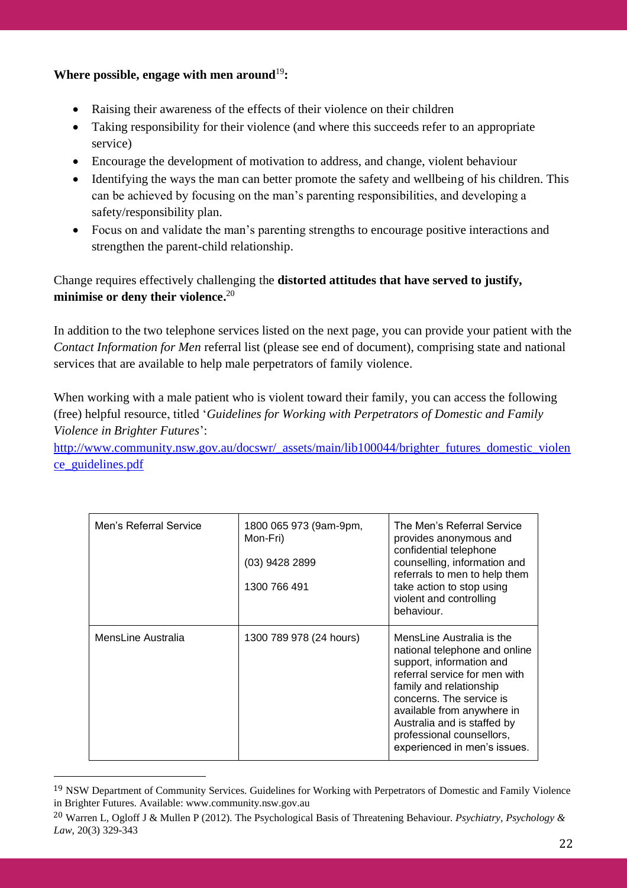### Where possible, engage with men around<sup>19</sup>:

- Raising their awareness of the effects of their violence on their children
- Taking responsibility for their violence (and where this succeeds refer to an appropriate service)
- Encourage the development of motivation to address, and change, violent behaviour
- Identifying the ways the man can better promote the safety and wellbeing of his children. This can be achieved by focusing on the man's parenting responsibilities, and developing a safety/responsibility plan.
- Focus on and validate the man's parenting strengths to encourage positive interactions and strengthen the parent-child relationship.

## Change requires effectively challenging the **distorted attitudes that have served to justify, minimise or deny their violence.** 20

In addition to the two telephone services listed on the next page, you can provide your patient with the *Contact Information for Men* referral list (please see end of document), comprising state and national services that are available to help male perpetrators of family violence.

When working with a male patient who is violent toward their family, you can access the following (free) helpful resource, titled '*Guidelines for Working with Perpetrators of Domestic and Family Violence in Brighter Futures*':

[http://www.community.nsw.gov.au/docswr/\\_assets/main/lib100044/brighter\\_futures\\_domestic\\_violen](http://www.community.nsw.gov.au/docswr/_assets/main/lib100044/brighter_futures_domestic_violence_guidelines.pdf) [ce\\_guidelines.pdf](http://www.community.nsw.gov.au/docswr/_assets/main/lib100044/brighter_futures_domestic_violence_guidelines.pdf) 

| Men's Referral Service | 1800 065 973 (9am-9pm,<br>Mon-Fri)<br>(03) 9428 2899<br>1300 766 491 | The Men's Referral Service<br>provides anonymous and<br>confidential telephone<br>counselling, information and<br>referrals to men to help them<br>take action to stop using<br>violent and controlling<br>behaviour.                                                                                    |
|------------------------|----------------------------------------------------------------------|----------------------------------------------------------------------------------------------------------------------------------------------------------------------------------------------------------------------------------------------------------------------------------------------------------|
| MensLine Australia     | 1300 789 978 (24 hours)                                              | MensLine Australia is the<br>national telephone and online<br>support, information and<br>referral service for men with<br>family and relationship<br>concerns. The service is<br>available from anywhere in<br>Australia and is staffed by<br>professional counsellors,<br>experienced in men's issues. |

<sup>19</sup> NSW Department of Community Services. Guidelines for Working with Perpetrators of Domestic and Family Violence in Brighter Futures. Available: www.community.nsw.gov.au

<sup>20</sup> Warren L, Ogloff J & Mullen P (2012). The Psychological Basis of Threatening Behaviour. *Psychiatry, Psychology & Law*, 20(3) 329-343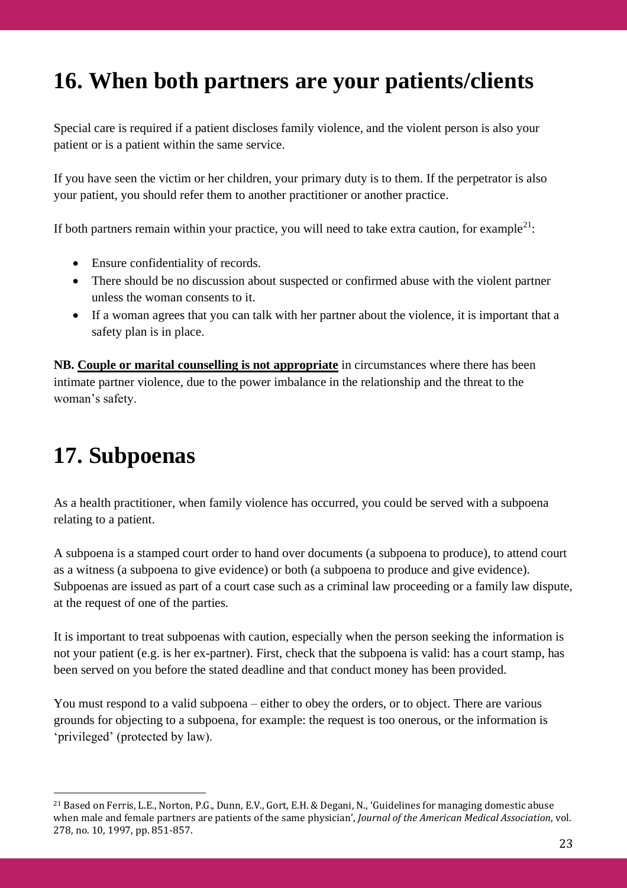# **16. When both partners are your patients/clients**

Special care is required if a patient discloses family violence, and the violent person is also your patient or is a patient within the same service.

If you have seen the victim or her children, your primary duty is to them. If the perpetrator is also your patient, you should refer them to another practitioner or another practice.

If both partners remain within your practice, you will need to take extra caution, for example<sup>21</sup>:

- Ensure confidentiality of records.
- There should be no discussion about suspected or confirmed abuse with the violent partner unless the woman consents to it.
- If a woman agrees that you can talk with her partner about the violence, it is important that a safety plan is in place.

**NB. Couple or marital counselling is not appropriate** in circumstances where there has been intimate partner violence, due to the power imbalance in the relationship and the threat to the woman's safety.

# **17. Subpoenas**

As a health practitioner, when family violence has occurred, you could be served with a subpoena relating to a patient.

A subpoena is a stamped court order to hand over documents (a subpoena to produce), to attend court as a witness (a subpoena to give evidence) or both (a subpoena to produce and give evidence). Subpoenas are issued as part of a court case such as a criminal law proceeding or a family law dispute, at the request of one of the parties.

It is important to treat subpoenas with caution, especially when the person seeking the information is not your patient (e.g. is her ex-partner). First, check that the subpoena is valid: has a court stamp, has been served on you before the stated deadline and that conduct money has been provided.

You must respond to a valid subpoena – either to obey the orders, or to object. There are various grounds for objecting to a subpoena, for example: the request is too onerous, or the information is 'privileged' (protected by law).

<sup>21</sup> Based on Ferris, L.E., Norton, P.G., Dunn, E.V., Gort, E.H. & Degani, N., 'Guidelines for managing domestic abuse when male and female partners are patients of the same physician', *Journal of the American Medical Association*, vol. 278, no. 10, 1997, pp. 851-857.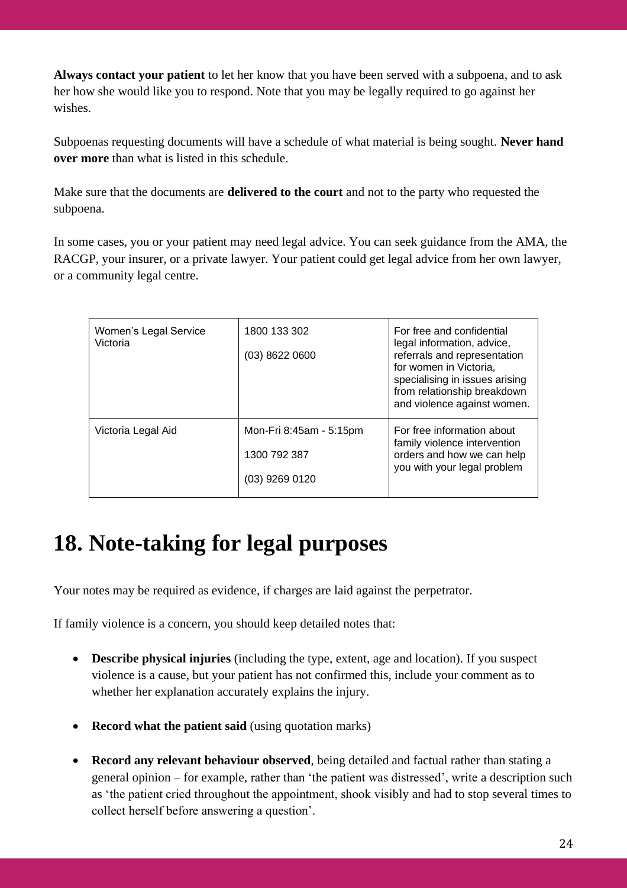**Always contact your patient** to let her know that you have been served with a subpoena, and to ask her how she would like you to respond. Note that you may be legally required to go against her wishes.

Subpoenas requesting documents will have a schedule of what material is being sought. **Never hand over more** than what is listed in this schedule.

Make sure that the documents are **delivered to the court** and not to the party who requested the subpoena.

In some cases, you or your patient may need legal advice. You can seek guidance from the AMA, the RACGP, your insurer, or a private lawyer. Your patient could get legal advice from her own lawyer, or a community legal centre.

| Women's Legal Service<br>Victoria | 1800 133 302<br>$(03)$ 8622 0600                            | For free and confidential<br>legal information, advice,<br>referrals and representation<br>for women in Victoria,<br>specialising in issues arising<br>from relationship breakdown<br>and violence against women. |
|-----------------------------------|-------------------------------------------------------------|-------------------------------------------------------------------------------------------------------------------------------------------------------------------------------------------------------------------|
| Victoria Legal Aid                | Mon-Fri 8:45am - 5:15pm<br>1300 792 387<br>$(03)$ 9269 0120 | For free information about<br>family violence intervention<br>orders and how we can help<br>you with your legal problem                                                                                           |

# **18. Note-taking for legal purposes**

Your notes may be required as evidence, if charges are laid against the perpetrator.

If family violence is a concern, you should keep detailed notes that:

- **Describe physical injuries** (including the type, extent, age and location). If you suspect violence is a cause, but your patient has not confirmed this, include your comment as to whether her explanation accurately explains the injury.
- **Record what the patient said** (using quotation marks)
- **Record any relevant behaviour observed**, being detailed and factual rather than stating a general opinion – for example, rather than 'the patient was distressed', write a description such as 'the patient cried throughout the appointment, shook visibly and had to stop several times to collect herself before answering a question'.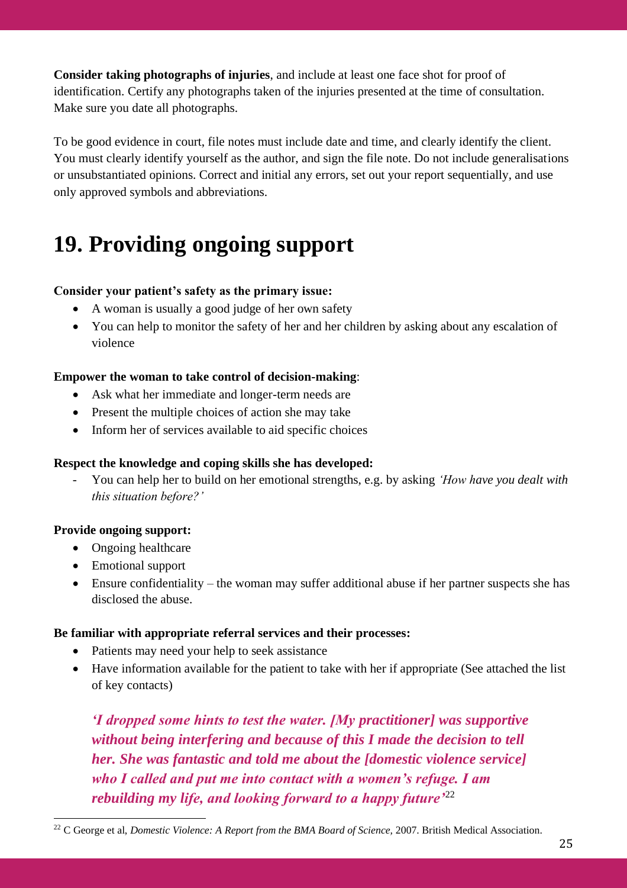**Consider taking photographs of injuries**, and include at least one face shot for proof of identification. Certify any photographs taken of the injuries presented at the time of consultation. Make sure you date all photographs.

To be good evidence in court, file notes must include date and time, and clearly identify the client. You must clearly identify yourself as the author, and sign the file note. Do not include generalisations or unsubstantiated opinions. Correct and initial any errors, set out your report sequentially, and use only approved symbols and abbreviations.

# **19. Providing ongoing support**

### **Consider your patient's safety as the primary issue:**

- A woman is usually a good judge of her own safety
- You can help to monitor the safety of her and her children by asking about any escalation of violence

### **Empower the woman to take control of decision-making**:

- Ask what her immediate and longer-term needs are
- Present the multiple choices of action she may take
- Inform her of services available to aid specific choices

### **Respect the knowledge and coping skills she has developed:**

- You can help her to build on her emotional strengths, e.g. by asking *'How have you dealt with this situation before?'*

### **Provide ongoing support:**

- Ongoing healthcare
- Emotional support
- Ensure confidentiality the woman may suffer additional abuse if her partner suspects she has disclosed the abuse.

#### **Be familiar with appropriate referral services and their processes:**

- Patients may need your help to seek assistance
- Have information available for the patient to take with her if appropriate (See attached the list of key contacts)

*'I dropped some hints to test the water. [My practitioner] was supportive without being interfering and because of this I made the decision to tell her. She was fantastic and told me about the [domestic violence service] who I called and put me into contact with a women's refuge. I am rebuilding my life, and looking forward to a happy future'*<sup>22</sup>

<sup>&</sup>lt;sup>22</sup> C George et al, *Domestic Violence: A Report from the BMA Board of Science*, 2007. British Medical Association.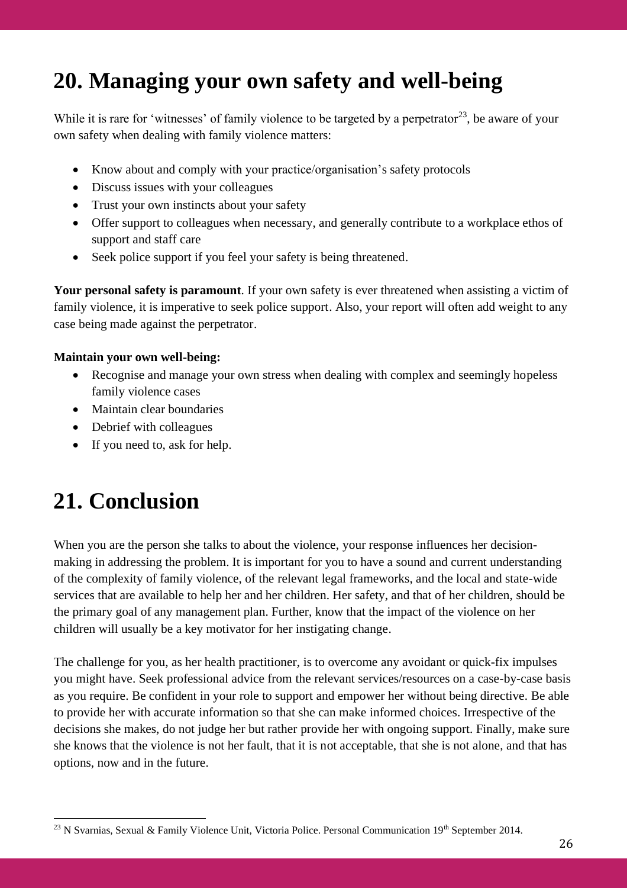# **20. Managing your own safety and well-being**

While it is rare for 'witnesses' of family violence to be targeted by a perpetrator<sup>23</sup>, be aware of your own safety when dealing with family violence matters:

- Know about and comply with your practice/organisation's safety protocols
- Discuss issues with your colleagues
- Trust your own instincts about your safety
- Offer support to colleagues when necessary, and generally contribute to a workplace ethos of support and staff care
- Seek police support if you feel your safety is being threatened.

**Your personal safety is paramount**. If your own safety is ever threatened when assisting a victim of family violence, it is imperative to seek police support. Also, your report will often add weight to any case being made against the perpetrator.

#### **Maintain your own well-being:**

- Recognise and manage your own stress when dealing with complex and seemingly hopeless family violence cases
- Maintain clear boundaries
- Debrief with colleagues
- If you need to, ask for help.

## **21. Conclusion**

When you are the person she talks to about the violence, your response influences her decisionmaking in addressing the problem. It is important for you to have a sound and current understanding of the complexity of family violence, of the relevant legal frameworks, and the local and state-wide services that are available to help her and her children. Her safety, and that of her children, should be the primary goal of any management plan. Further, know that the impact of the violence on her children will usually be a key motivator for her instigating change.

The challenge for you, as her health practitioner, is to overcome any avoidant or quick-fix impulses you might have. Seek professional advice from the relevant services/resources on a case-by-case basis as you require. Be confident in your role to support and empower her without being directive. Be able to provide her with accurate information so that she can make informed choices. Irrespective of the decisions she makes, do not judge her but rather provide her with ongoing support. Finally, make sure she knows that the violence is not her fault, that it is not acceptable, that she is not alone, and that has options, now and in the future.

<sup>&</sup>lt;sup>23</sup> N Svarnias, Sexual & Family Violence Unit, Victoria Police. Personal Communication  $19<sup>th</sup>$  September 2014.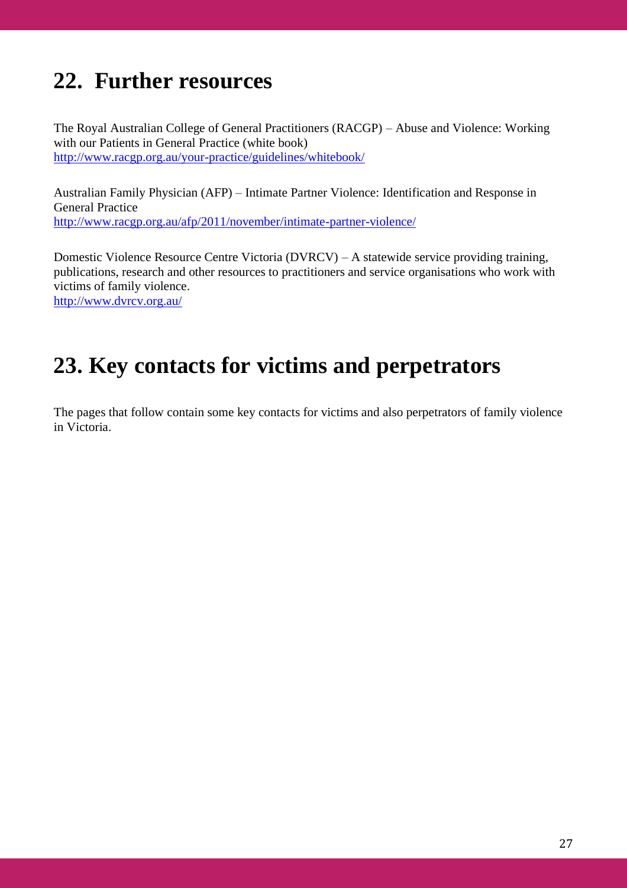## **22. Further resources**

The Royal Australian College of General Practitioners (RACGP) – Abuse and Violence: Working with our Patients in General Practice (white book) <http://www.racgp.org.au/your-practice/guidelines/whitebook/>

Australian Family Physician (AFP) – Intimate Partner Violence: Identification and Response in General Practice <http://www.racgp.org.au/afp/2011/november/intimate-partner-violence/>

Domestic Violence Resource Centre Victoria (DVRCV) – A statewide service providing training, publications, research and other resources to practitioners and service organisations who work with victims of family violence.

<http://www.dvrcv.org.au/>

# **23. Key contacts for victims and perpetrators**

The pages that follow contain some key contacts for victims and also perpetrators of family violence in Victoria.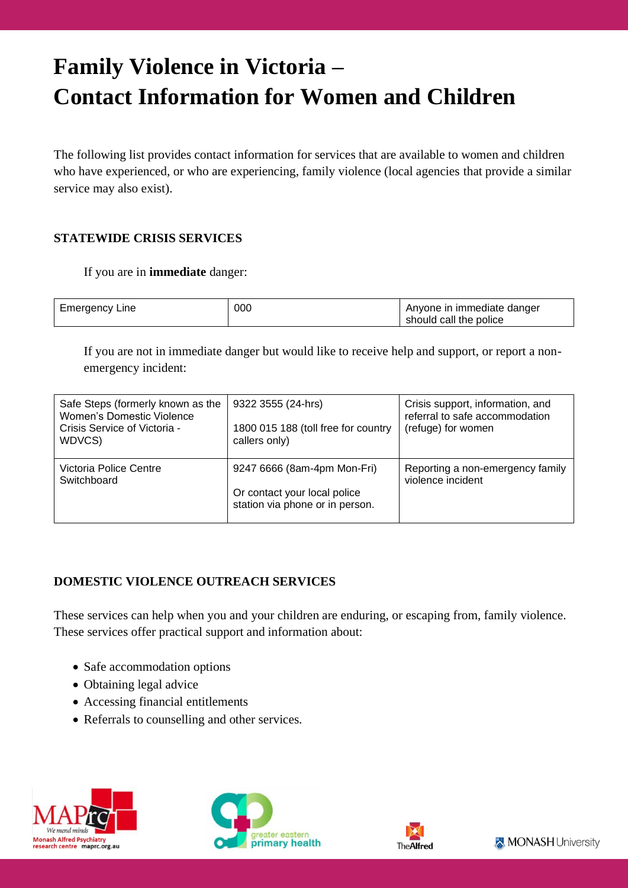# **Family Violence in Victoria – Contact Information for Women and Children**

The following list provides contact information for services that are available to women and children who have experienced, or who are experiencing, family violence (local agencies that provide a similar service may also exist).

## **STATEWIDE CRISIS SERVICES**

### If you are in **immediate** danger:

| Emergency L<br>Line | 000 | Anyone in immediate danger<br>should call the police |
|---------------------|-----|------------------------------------------------------|
|                     |     |                                                      |

If you are not in immediate danger but would like to receive help and support, or report a nonemergency incident:

| Safe Steps (formerly known as the<br>Women's Domestic Violence<br>Crisis Service of Victoria -<br>WDVCS) | 9322 3555 (24-hrs)<br>1800 015 188 (toll free for country<br>callers only)                     | Crisis support, information, and<br>referral to safe accommodation<br>(refuge) for women |
|----------------------------------------------------------------------------------------------------------|------------------------------------------------------------------------------------------------|------------------------------------------------------------------------------------------|
| Victoria Police Centre<br>Switchboard                                                                    | 9247 6666 (8am-4pm Mon-Fri)<br>Or contact your local police<br>station via phone or in person. | Reporting a non-emergency family<br>violence incident                                    |

### **DOMESTIC VIOLENCE OUTREACH SERVICES**

These services can help when you and your children are enduring, or escaping from, family violence. These services offer practical support and information about:

- Safe accommodation options
- Obtaining legal advice
- Accessing financial entitlements
- Referrals to counselling and other services.







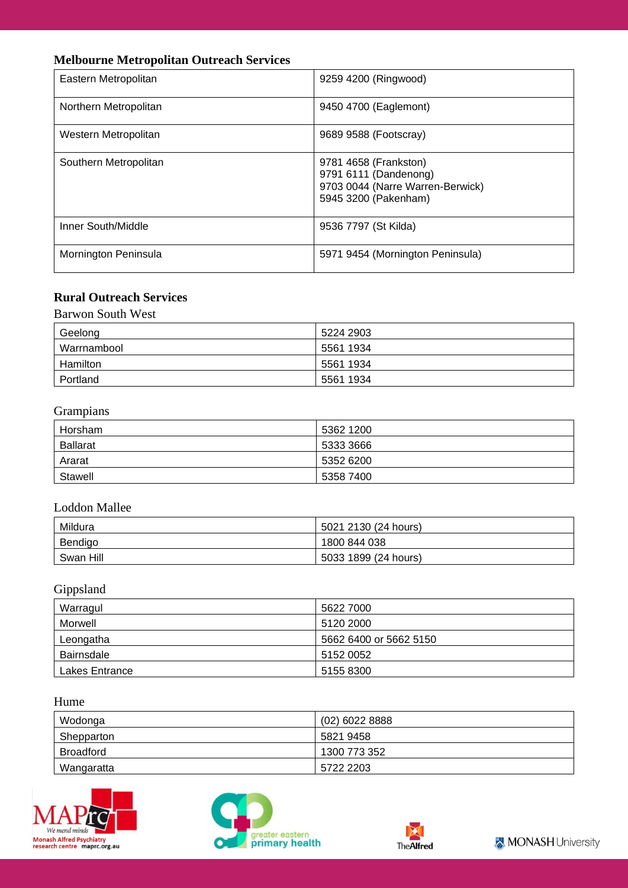## **Melbourne Metropolitan Outreach Services**

| Eastern Metropolitan  | 9259 4200 (Ringwood)                                                                                       |
|-----------------------|------------------------------------------------------------------------------------------------------------|
| Northern Metropolitan | 9450 4700 (Eaglemont)                                                                                      |
| Western Metropolitan  | 9689 9588 (Footscray)                                                                                      |
| Southern Metropolitan | 9781 4658 (Frankston)<br>9791 6111 (Dandenong)<br>9703 0044 (Narre Warren-Berwick)<br>5945 3200 (Pakenham) |
| Inner South/Middle    | 9536 7797 (St Kilda)                                                                                       |
| Mornington Peninsula  | 5971 9454 (Mornington Peninsula)                                                                           |

## **Rural Outreach Services**

Barwon South West

| Geelong     | 5224 2903 |
|-------------|-----------|
| Warrnambool | 5561 1934 |
| Hamilton    | 5561 1934 |
| Portland    | 5561 1934 |

## Grampians

| Horsham         | 5362 1200 |
|-----------------|-----------|
| <b>Ballarat</b> | 5333 3666 |
| Ararat          | 5352 6200 |
| Stawell         | 5358 7400 |

### Loddon Mallee

| Mildura   | 5021 2130 (24 hours) |
|-----------|----------------------|
| Bendigo   | 1800 844 038         |
| Swan Hill | 5033 1899 (24 hours) |

## Gippsland

| Warragul       | 5622 7000              |
|----------------|------------------------|
| Morwell        | 5120 2000              |
| Leongatha      | 5662 6400 or 5662 5150 |
| Bairnsdale     | 5152 0052              |
| Lakes Entrance | 5155 8300              |

### Hume

| Wodonga    | $(02)$ 6022 8888 |
|------------|------------------|
| Shepparton | 5821 9458        |
| Broadford  | 1300 773 352     |
| Wangaratta | 5722 2203        |







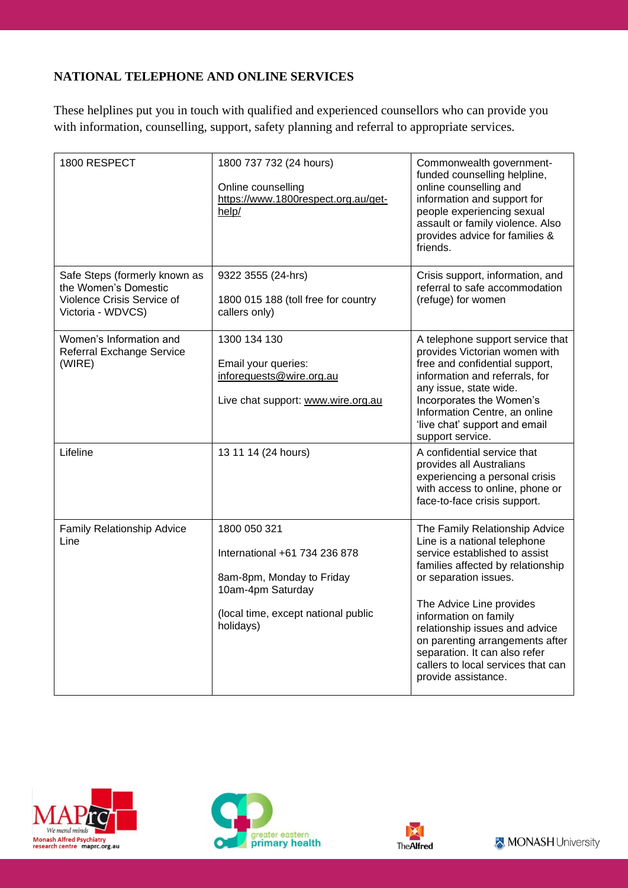## **NATIONAL TELEPHONE AND ONLINE SERVICES**

These helplines put you in touch with qualified and experienced counsellors who can provide you with information, counselling, support, safety planning and referral to appropriate services.

| 1800 RESPECT                                                                                             | 1800 737 732 (24 hours)<br>Online counselling<br>https://www.1800respect.org.au/get-<br>help/                                                       | Commonwealth government-<br>funded counselling helpline,<br>online counselling and<br>information and support for<br>people experiencing sexual<br>assault or family violence. Also<br>provides advice for families &<br>friends.                                                                                                                                                     |
|----------------------------------------------------------------------------------------------------------|-----------------------------------------------------------------------------------------------------------------------------------------------------|---------------------------------------------------------------------------------------------------------------------------------------------------------------------------------------------------------------------------------------------------------------------------------------------------------------------------------------------------------------------------------------|
| Safe Steps (formerly known as<br>the Women's Domestic<br>Violence Crisis Service of<br>Victoria - WDVCS) | 9322 3555 (24-hrs)<br>1800 015 188 (toll free for country<br>callers only)                                                                          | Crisis support, information, and<br>referral to safe accommodation<br>(refuge) for women                                                                                                                                                                                                                                                                                              |
| Women's Information and<br>Referral Exchange Service<br>(WIRE)                                           | 1300 134 130<br>Email your queries:<br>inforequests@wire.org.au<br>Live chat support: www.wire.org.au                                               | A telephone support service that<br>provides Victorian women with<br>free and confidential support,<br>information and referrals, for<br>any issue, state wide.<br>Incorporates the Women's<br>Information Centre, an online<br>'live chat' support and email<br>support service.                                                                                                     |
| Lifeline                                                                                                 | 13 11 14 (24 hours)                                                                                                                                 | A confidential service that<br>provides all Australians<br>experiencing a personal crisis<br>with access to online, phone or<br>face-to-face crisis support.                                                                                                                                                                                                                          |
| Family Relationship Advice<br>Line                                                                       | 1800 050 321<br>International +61 734 236 878<br>8am-8pm, Monday to Friday<br>10am-4pm Saturday<br>(local time, except national public<br>holidays) | The Family Relationship Advice<br>Line is a national telephone<br>service established to assist<br>families affected by relationship<br>or separation issues.<br>The Advice Line provides<br>information on family<br>relationship issues and advice<br>on parenting arrangements after<br>separation. It can also refer<br>callers to local services that can<br>provide assistance. |







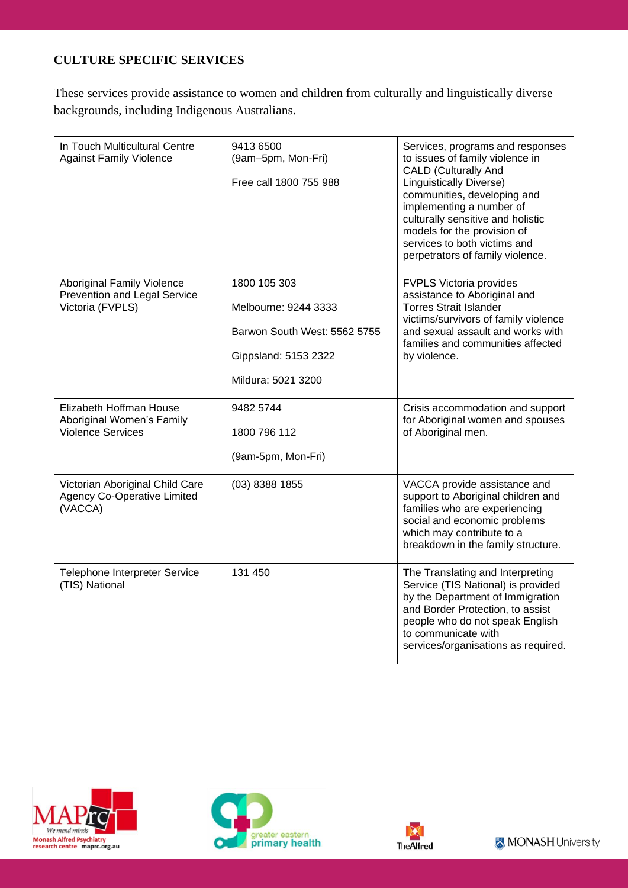### **CULTURE SPECIFIC SERVICES**

These services provide assistance to women and children from culturally and linguistically diverse backgrounds, including Indigenous Australians.

| In Touch Multicultural Centre<br><b>Against Family Violence</b>                  | 9413 6500<br>(9am-5pm, Mon-Fri)<br>Free call 1800 755 988                                                          | Services, programs and responses<br>to issues of family violence in<br><b>CALD (Culturally And</b><br><b>Linguistically Diverse)</b><br>communities, developing and<br>implementing a number of<br>culturally sensitive and holistic<br>models for the provision of<br>services to both victims and<br>perpetrators of family violence. |
|----------------------------------------------------------------------------------|--------------------------------------------------------------------------------------------------------------------|-----------------------------------------------------------------------------------------------------------------------------------------------------------------------------------------------------------------------------------------------------------------------------------------------------------------------------------------|
| Aboriginal Family Violence<br>Prevention and Legal Service<br>Victoria (FVPLS)   | 1800 105 303<br>Melbourne: 9244 3333<br>Barwon South West: 5562 5755<br>Gippsland: 5153 2322<br>Mildura: 5021 3200 | FVPLS Victoria provides<br>assistance to Aboriginal and<br><b>Torres Strait Islander</b><br>victims/survivors of family violence<br>and sexual assault and works with<br>families and communities affected<br>by violence.                                                                                                              |
| Elizabeth Hoffman House<br>Aboriginal Women's Family<br><b>Violence Services</b> | 9482 5744<br>1800 796 112<br>(9am-5pm, Mon-Fri)                                                                    | Crisis accommodation and support<br>for Aboriginal women and spouses<br>of Aboriginal men.                                                                                                                                                                                                                                              |
| Victorian Aboriginal Child Care<br><b>Agency Co-Operative Limited</b><br>(VACCA) | $(03)$ 8388 1855                                                                                                   | VACCA provide assistance and<br>support to Aboriginal children and<br>families who are experiencing<br>social and economic problems<br>which may contribute to a<br>breakdown in the family structure.                                                                                                                                  |
| Telephone Interpreter Service<br>(TIS) National                                  | 131 450                                                                                                            | The Translating and Interpreting<br>Service (TIS National) is provided<br>by the Department of Immigration<br>and Border Protection, to assist<br>people who do not speak English<br>to communicate with<br>services/organisations as required.                                                                                         |







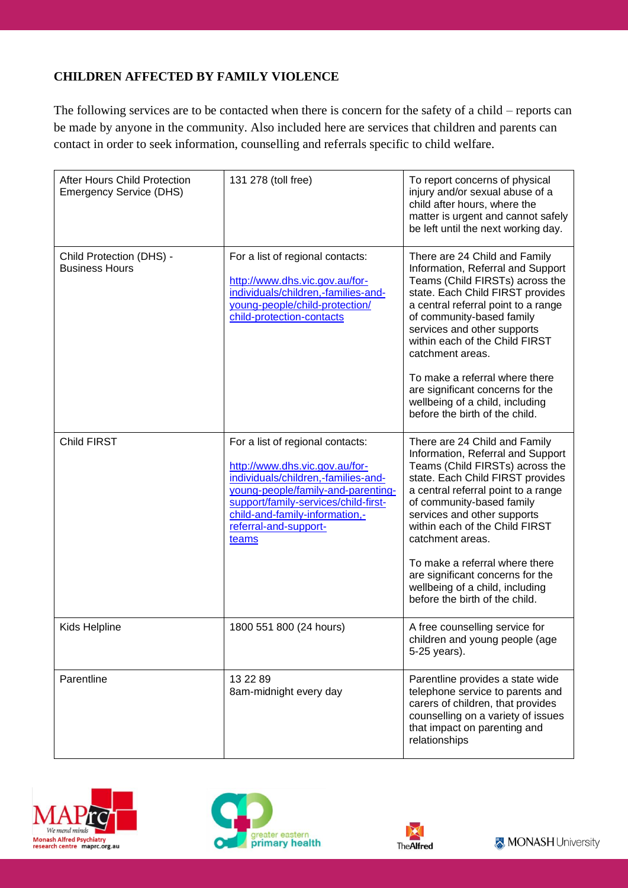## **CHILDREN AFFECTED BY FAMILY VIOLENCE**

The following services are to be contacted when there is concern for the safety of a child – reports can be made by anyone in the community. Also included here are services that children and parents can contact in order to seek information, counselling and referrals specific to child welfare.

| After Hours Child Protection<br><b>Emergency Service (DHS)</b> | 131 278 (toll free)                                                                                                                                                                                                                                         | To report concerns of physical<br>injury and/or sexual abuse of a<br>child after hours, where the<br>matter is urgent and cannot safely<br>be left until the next working day.                                                                                                                                                                                                                                                                |
|----------------------------------------------------------------|-------------------------------------------------------------------------------------------------------------------------------------------------------------------------------------------------------------------------------------------------------------|-----------------------------------------------------------------------------------------------------------------------------------------------------------------------------------------------------------------------------------------------------------------------------------------------------------------------------------------------------------------------------------------------------------------------------------------------|
| Child Protection (DHS) -<br><b>Business Hours</b>              | For a list of regional contacts:<br>http://www.dhs.vic.gov.au/for-<br>individuals/children,-families-and-<br>young-people/child-protection/<br>child-protection-contacts                                                                                    | There are 24 Child and Family<br>Information, Referral and Support<br>Teams (Child FIRSTs) across the<br>state. Each Child FIRST provides<br>a central referral point to a range<br>of community-based family<br>services and other supports<br>within each of the Child FIRST<br>catchment areas.<br>To make a referral where there<br>are significant concerns for the<br>wellbeing of a child, including<br>before the birth of the child. |
| Child FIRST                                                    | For a list of regional contacts:<br>http://www.dhs.vic.gov.au/for-<br>individuals/children,-families-and-<br>young-people/family-and-parenting-<br>support/family-services/child-first-<br>child-and-family-information,-<br>referral-and-support-<br>teams | There are 24 Child and Family<br>Information, Referral and Support<br>Teams (Child FIRSTs) across the<br>state. Each Child FIRST provides<br>a central referral point to a range<br>of community-based family<br>services and other supports<br>within each of the Child FIRST<br>catchment areas.<br>To make a referral where there<br>are significant concerns for the<br>wellbeing of a child, including<br>before the birth of the child. |
| Kids Helpline                                                  | 1800 551 800 (24 hours)                                                                                                                                                                                                                                     | A free counselling service for<br>children and young people (age<br>5-25 years).                                                                                                                                                                                                                                                                                                                                                              |
| Parentline                                                     | 13 22 89<br>8am-midnight every day                                                                                                                                                                                                                          | Parentline provides a state wide<br>telephone service to parents and<br>carers of children, that provides<br>counselling on a variety of issues<br>that impact on parenting and<br>relationships                                                                                                                                                                                                                                              |







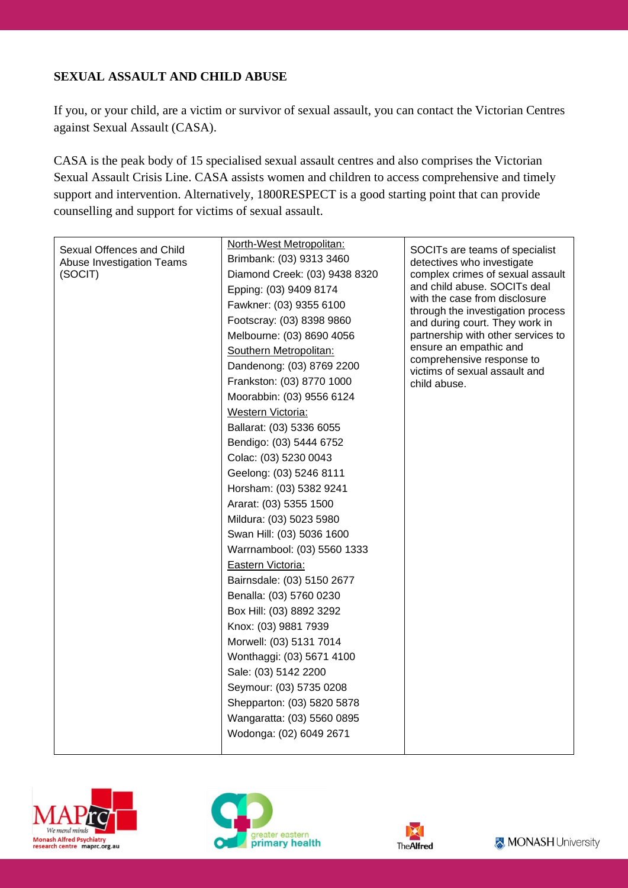## **SEXUAL ASSAULT AND CHILD ABUSE**

If you, or your child, are a victim or survivor of sexual assault, you can contact the Victorian Centres against Sexual Assault (CASA).

CASA is the peak body of 15 specialised sexual assault centres and also comprises the Victorian Sexual Assault Crisis Line. CASA assists women and children to access comprehensive and timely support and intervention. Alternatively, 1800RESPECT is a good starting point that can provide counselling and support for victims of sexual assault.

| Sexual Offences and Child<br>Abuse Investigation Teams<br>(SOCIT) | North-West Metropolitan:<br>Brimbank: (03) 9313 3460<br>Diamond Creek: (03) 9438 8320<br>Epping: (03) 9409 8174<br>Fawkner: (03) 9355 6100<br>Footscray: (03) 8398 9860<br>Melbourne: (03) 8690 4056<br>Southern Metropolitan:<br>Dandenong: (03) 8769 2200<br>Frankston: (03) 8770 1000<br>Moorabbin: (03) 9556 6124<br>Western Victoria:<br>Ballarat: (03) 5336 6055<br>Bendigo: (03) 5444 6752<br>Colac: (03) 5230 0043<br>Geelong: (03) 5246 8111<br>Horsham: (03) 5382 9241<br>Ararat: (03) 5355 1500<br>Mildura: (03) 5023 5980<br>Swan Hill: (03) 5036 1600<br>Warrnambool: (03) 5560 1333<br>Eastern Victoria:<br>Bairnsdale: (03) 5150 2677<br>Benalla: (03) 5760 0230<br>Box Hill: (03) 8892 3292<br>Knox: (03) 9881 7939<br>Morwell: (03) 5131 7014<br>Wonthaggi: (03) 5671 4100<br>Sale: (03) 5142 2200<br>Seymour: (03) 5735 0208<br>Shepparton: (03) 5820 5878<br>Wangaratta: (03) 5560 0895<br>Wodonga: (02) 6049 2671 | SOCITs are teams of specialist<br>detectives who investigate<br>complex crimes of sexual assault<br>and child abuse. SOCITs deal<br>with the case from disclosure<br>through the investigation process<br>and during court. They work in<br>partnership with other services to<br>ensure an empathic and<br>comprehensive response to<br>victims of sexual assault and<br>child abuse. |
|-------------------------------------------------------------------|---------------------------------------------------------------------------------------------------------------------------------------------------------------------------------------------------------------------------------------------------------------------------------------------------------------------------------------------------------------------------------------------------------------------------------------------------------------------------------------------------------------------------------------------------------------------------------------------------------------------------------------------------------------------------------------------------------------------------------------------------------------------------------------------------------------------------------------------------------------------------------------------------------------------------------------|----------------------------------------------------------------------------------------------------------------------------------------------------------------------------------------------------------------------------------------------------------------------------------------------------------------------------------------------------------------------------------------|
|-------------------------------------------------------------------|---------------------------------------------------------------------------------------------------------------------------------------------------------------------------------------------------------------------------------------------------------------------------------------------------------------------------------------------------------------------------------------------------------------------------------------------------------------------------------------------------------------------------------------------------------------------------------------------------------------------------------------------------------------------------------------------------------------------------------------------------------------------------------------------------------------------------------------------------------------------------------------------------------------------------------------|----------------------------------------------------------------------------------------------------------------------------------------------------------------------------------------------------------------------------------------------------------------------------------------------------------------------------------------------------------------------------------------|





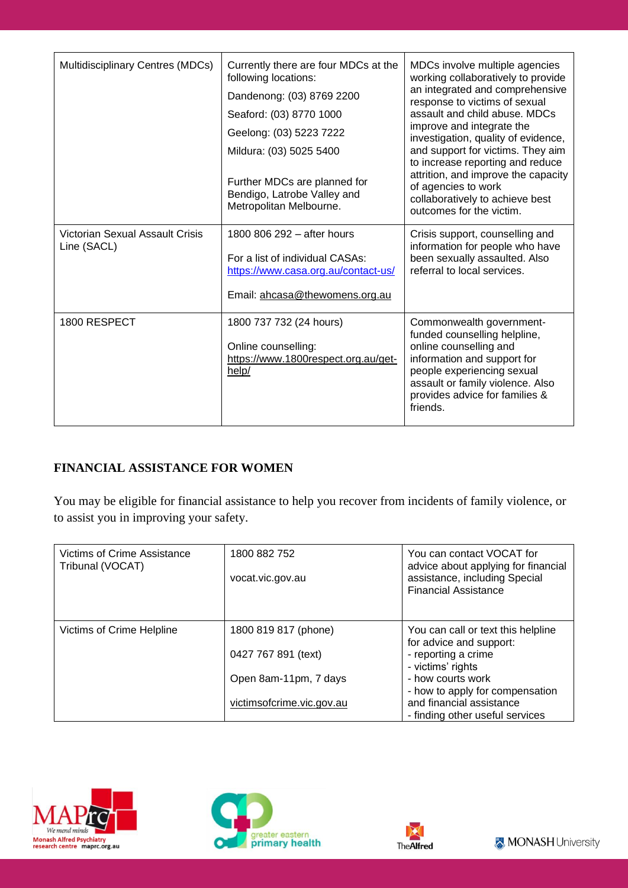| Multidisciplinary Centres (MDCs)               | Currently there are four MDCs at the<br>following locations:<br>Dandenong: (03) 8769 2200<br>Seaford: (03) 8770 1000<br>Geelong: (03) 5223 7222<br>Mildura: (03) 5025 5400<br>Further MDCs are planned for<br>Bendigo, Latrobe Valley and<br>Metropolitan Melbourne. | MDCs involve multiple agencies<br>working collaboratively to provide<br>an integrated and comprehensive<br>response to victims of sexual<br>assault and child abuse. MDCs<br>improve and integrate the<br>investigation, quality of evidence,<br>and support for victims. They aim<br>to increase reporting and reduce<br>attrition, and improve the capacity<br>of agencies to work<br>collaboratively to achieve best<br>outcomes for the victim. |
|------------------------------------------------|----------------------------------------------------------------------------------------------------------------------------------------------------------------------------------------------------------------------------------------------------------------------|-----------------------------------------------------------------------------------------------------------------------------------------------------------------------------------------------------------------------------------------------------------------------------------------------------------------------------------------------------------------------------------------------------------------------------------------------------|
| Victorian Sexual Assault Crisis<br>Line (SACL) | 1800 806 292 - after hours<br>For a list of individual CASAs:<br>https://www.casa.org.au/contact-us/<br>Email: ahcasa@thewomens.org.au                                                                                                                               | Crisis support, counselling and<br>information for people who have<br>been sexually assaulted. Also<br>referral to local services.                                                                                                                                                                                                                                                                                                                  |
| 1800 RESPECT                                   | 1800 737 732 (24 hours)<br>Online counselling:<br>https://www.1800respect.org.au/get-<br>help/                                                                                                                                                                       | Commonwealth government-<br>funded counselling helpline,<br>online counselling and<br>information and support for<br>people experiencing sexual<br>assault or family violence. Also<br>provides advice for families &<br>friends.                                                                                                                                                                                                                   |

## **FINANCIAL ASSISTANCE FOR WOMEN**

You may be eligible for financial assistance to help you recover from incidents of family violence, or to assist you in improving your safety.

| Victims of Crime Assistance<br>Tribunal (VOCAT) | 1800 882 752<br>vocat.vic.gov.au | You can contact VOCAT for<br>advice about applying for financial<br>assistance, including Special<br><b>Financial Assistance</b> |
|-------------------------------------------------|----------------------------------|----------------------------------------------------------------------------------------------------------------------------------|
| Victims of Crime Helpline                       | 1800 819 817 (phone)             | You can call or text this helpline<br>for advice and support:                                                                    |
|                                                 | 0427 767 891 (text)              | - reporting a crime<br>- victims' rights                                                                                         |
|                                                 | Open 8am-11pm, 7 days            | - how courts work                                                                                                                |
|                                                 | victimsofcrime.vic.gov.au        | - how to apply for compensation<br>and financial assistance<br>- finding other useful services                                   |







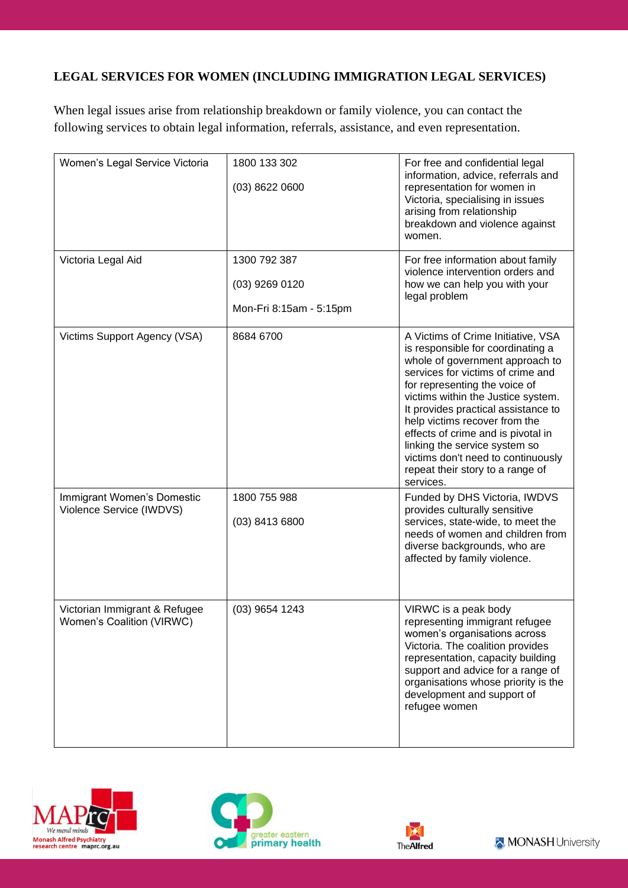## **LEGAL SERVICES FOR WOMEN (INCLUDING IMMIGRATION LEGAL SERVICES)**

When legal issues arise from relationship breakdown or family violence, you can contact the following services to obtain legal information, referrals, assistance, and even representation.

| Women's Legal Service Victoria                             | 1800 133 302<br>$(03)$ 8622 0600                            | For free and confidential legal<br>information, advice, referrals and<br>representation for women in<br>Victoria, specialising in issues<br>arising from relationship<br>breakdown and violence against<br>women.                                                                                                                                                                                                                                            |
|------------------------------------------------------------|-------------------------------------------------------------|--------------------------------------------------------------------------------------------------------------------------------------------------------------------------------------------------------------------------------------------------------------------------------------------------------------------------------------------------------------------------------------------------------------------------------------------------------------|
| Victoria Legal Aid                                         | 1300 792 387<br>$(03)$ 9269 0120<br>Mon-Fri 8:15am - 5:15pm | For free information about family<br>violence intervention orders and<br>how we can help you with your<br>legal problem                                                                                                                                                                                                                                                                                                                                      |
| Victims Support Agency (VSA)                               | 8684 6700                                                   | A Victims of Crime Initiative, VSA<br>is responsible for coordinating a<br>whole of government approach to<br>services for victims of crime and<br>for representing the voice of<br>victims within the Justice system.<br>It provides practical assistance to<br>help victims recover from the<br>effects of crime and is pivotal in<br>linking the service system so<br>victims don't need to continuously<br>repeat their story to a range of<br>services. |
| Immigrant Women's Domestic<br>Violence Service (IWDVS)     | 1800 755 988<br>(03) 8413 6800                              | Funded by DHS Victoria, IWDVS<br>provides culturally sensitive<br>services, state-wide, to meet the<br>needs of women and children from<br>diverse backgrounds, who are<br>affected by family violence.                                                                                                                                                                                                                                                      |
| Victorian Immigrant & Refugee<br>Women's Coalition (VIRWC) | (03) 9654 1243                                              | VIRWC is a peak body<br>representing immigrant refugee<br>women's organisations across<br>Victoria. The coalition provides<br>representation, capacity building<br>support and advice for a range of<br>organisations whose priority is the<br>development and support of<br>refugee women                                                                                                                                                                   |







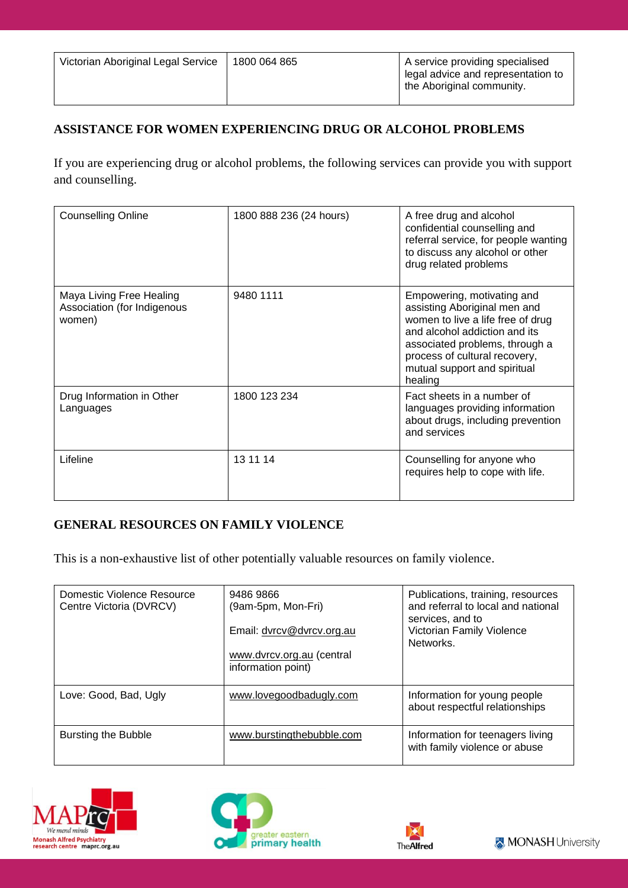## **ASSISTANCE FOR WOMEN EXPERIENCING DRUG OR ALCOHOL PROBLEMS**

If you are experiencing drug or alcohol problems, the following services can provide you with support and counselling.

| <b>Counselling Online</b>                                         | 1800 888 236 (24 hours) | A free drug and alcohol<br>confidential counselling and<br>referral service, for people wanting<br>to discuss any alcohol or other<br>drug related problems                                                                                    |
|-------------------------------------------------------------------|-------------------------|------------------------------------------------------------------------------------------------------------------------------------------------------------------------------------------------------------------------------------------------|
| Maya Living Free Healing<br>Association (for Indigenous<br>women) | 9480 1111               | Empowering, motivating and<br>assisting Aboriginal men and<br>women to live a life free of drug<br>and alcohol addiction and its<br>associated problems, through a<br>process of cultural recovery,<br>mutual support and spiritual<br>healing |
| Drug Information in Other<br>Languages                            | 1800 123 234            | Fact sheets in a number of<br>languages providing information<br>about drugs, including prevention<br>and services                                                                                                                             |
| Lifeline                                                          | 13 11 14                | Counselling for anyone who<br>requires help to cope with life.                                                                                                                                                                                 |

## **GENERAL RESOURCES ON FAMILY VIOLENCE**

This is a non-exhaustive list of other potentially valuable resources on family violence.

| Domestic Violence Resource<br>Centre Victoria (DVRCV) | 9486 9866<br>(9am-5pm, Mon-Fri)<br>Email: dvrcv@dvrcv.org.au<br>www.dvrcv.org.au (central<br>information point) | Publications, training, resources<br>and referral to local and national<br>services, and to<br>Victorian Family Violence<br>Networks. |
|-------------------------------------------------------|-----------------------------------------------------------------------------------------------------------------|---------------------------------------------------------------------------------------------------------------------------------------|
| Love: Good, Bad, Ugly                                 | www.lovegoodbadugly.com                                                                                         | Information for young people<br>about respectful relationships                                                                        |
| Bursting the Bubble                                   | www.burstingthebubble.com                                                                                       | Information for teenagers living<br>with family violence or abuse                                                                     |





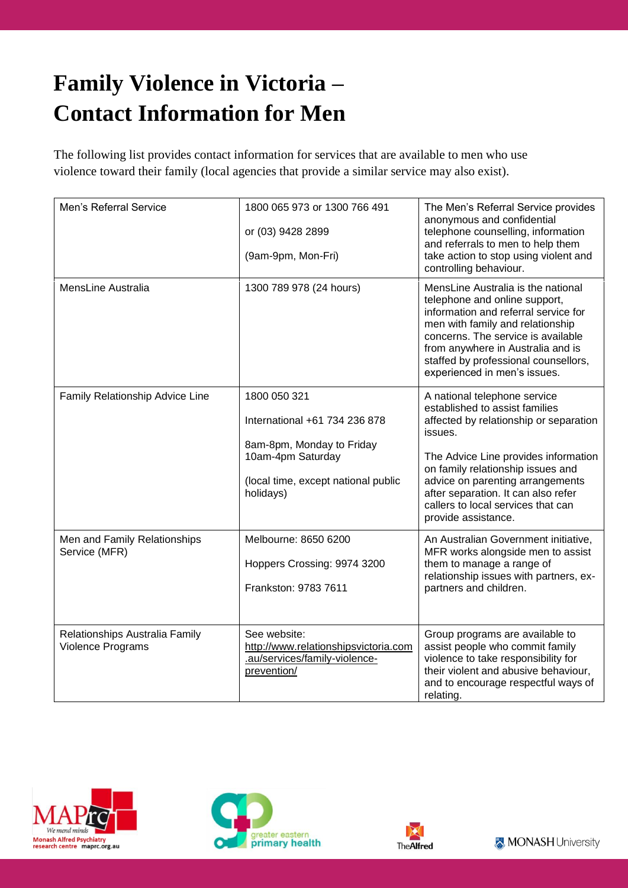# **Family Violence in Victoria – Contact Information for Men**

The following list provides contact information for services that are available to men who use violence toward their family (local agencies that provide a similar service may also exist).

| Men's Referral Service                              | 1800 065 973 or 1300 766 491<br>or (03) 9428 2899<br>(9am-9pm, Mon-Fri)                                                                             | The Men's Referral Service provides<br>anonymous and confidential<br>telephone counselling, information<br>and referrals to men to help them<br>take action to stop using violent and<br>controlling behaviour.                                                                                                                          |
|-----------------------------------------------------|-----------------------------------------------------------------------------------------------------------------------------------------------------|------------------------------------------------------------------------------------------------------------------------------------------------------------------------------------------------------------------------------------------------------------------------------------------------------------------------------------------|
| MensLine Australia                                  | 1300 789 978 (24 hours)                                                                                                                             | MensLine Australia is the national<br>telephone and online support,<br>information and referral service for<br>men with family and relationship<br>concerns. The service is available<br>from anywhere in Australia and is<br>staffed by professional counsellors,<br>experienced in men's issues.                                       |
| Family Relationship Advice Line                     | 1800 050 321<br>International +61 734 236 878<br>8am-8pm, Monday to Friday<br>10am-4pm Saturday<br>(local time, except national public<br>holidays) | A national telephone service<br>established to assist families<br>affected by relationship or separation<br>issues.<br>The Advice Line provides information<br>on family relationship issues and<br>advice on parenting arrangements<br>after separation. It can also refer<br>callers to local services that can<br>provide assistance. |
| Men and Family Relationships<br>Service (MFR)       | Melbourne: 8650 6200<br>Hoppers Crossing: 9974 3200<br>Frankston: 9783 7611                                                                         | An Australian Government initiative,<br>MFR works alongside men to assist<br>them to manage a range of<br>relationship issues with partners, ex-<br>partners and children.                                                                                                                                                               |
| Relationships Australia Family<br>Violence Programs | See website:<br>http://www.relationshipsvictoria.com<br>.au/services/family-violence-<br>prevention/                                                | Group programs are available to<br>assist people who commit family<br>violence to take responsibility for<br>their violent and abusive behaviour,<br>and to encourage respectful ways of<br>relating.                                                                                                                                    |